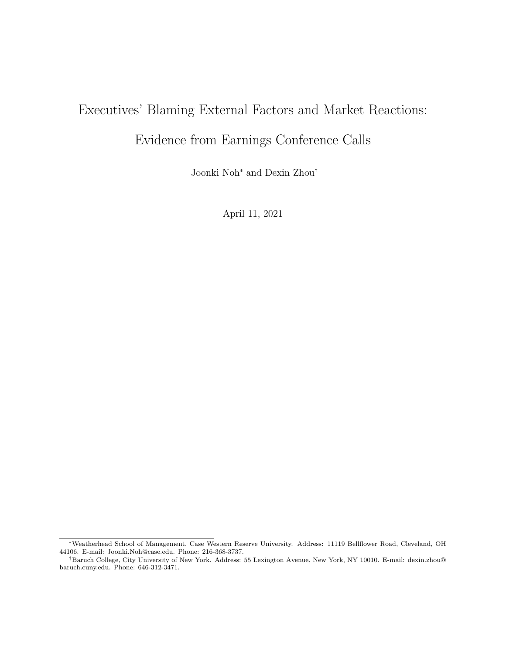# Executives' Blaming External Factors and Market Reactions: Evidence from Earnings Conference Calls

Joonki Noh<sup>∗</sup> and Dexin Zhou†

April 11, 2021

<sup>∗</sup>Weatherhead School of Management, Case Western Reserve University. Address: 11119 Bellflower Road, Cleveland, OH 44106. E-mail: Joonki.Noh@case.edu. Phone: 216-368-3737.

<sup>†</sup>Baruch College, City University of New York. Address: 55 Lexington Avenue, New York, NY 10010. E-mail: dexin.zhou@ baruch.cuny.edu. Phone: 646-312-3471.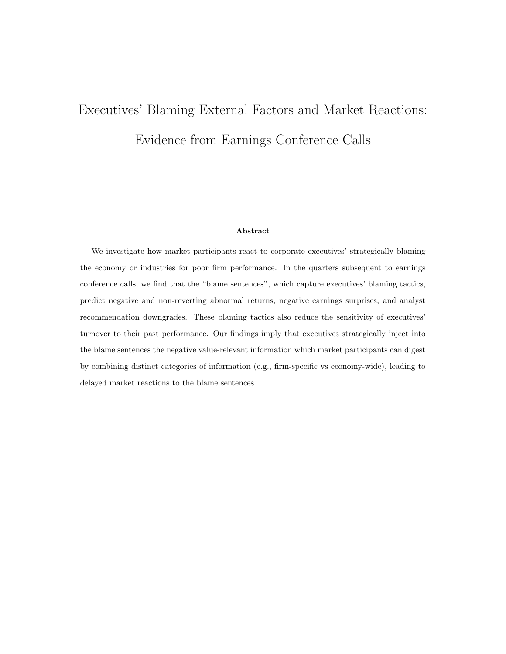# Executives' Blaming External Factors and Market Reactions: Evidence from Earnings Conference Calls

#### Abstract

We investigate how market participants react to corporate executives' strategically blaming the economy or industries for poor firm performance. In the quarters subsequent to earnings conference calls, we find that the "blame sentences", which capture executives' blaming tactics, predict negative and non-reverting abnormal returns, negative earnings surprises, and analyst recommendation downgrades. These blaming tactics also reduce the sensitivity of executives' turnover to their past performance. Our findings imply that executives strategically inject into the blame sentences the negative value-relevant information which market participants can digest by combining distinct categories of information (e.g., firm-specific vs economy-wide), leading to delayed market reactions to the blame sentences.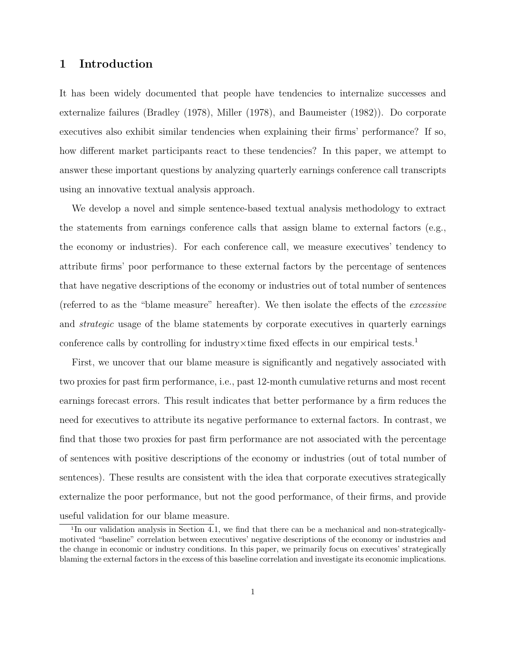## 1 Introduction

It has been widely documented that people have tendencies to internalize successes and externalize failures (Bradley (1978), Miller (1978), and Baumeister (1982)). Do corporate executives also exhibit similar tendencies when explaining their firms' performance? If so, how different market participants react to these tendencies? In this paper, we attempt to answer these important questions by analyzing quarterly earnings conference call transcripts using an innovative textual analysis approach.

We develop a novel and simple sentence-based textual analysis methodology to extract the statements from earnings conference calls that assign blame to external factors (e.g., the economy or industries). For each conference call, we measure executives' tendency to attribute firms' poor performance to these external factors by the percentage of sentences that have negative descriptions of the economy or industries out of total number of sentences (referred to as the "blame measure" hereafter). We then isolate the effects of the excessive and strategic usage of the blame statements by corporate executives in quarterly earnings conference calls by controlling for industry $\times$ time fixed effects in our empirical tests.<sup>1</sup>

First, we uncover that our blame measure is significantly and negatively associated with two proxies for past firm performance, i.e., past 12-month cumulative returns and most recent earnings forecast errors. This result indicates that better performance by a firm reduces the need for executives to attribute its negative performance to external factors. In contrast, we find that those two proxies for past firm performance are not associated with the percentage of sentences with positive descriptions of the economy or industries (out of total number of sentences). These results are consistent with the idea that corporate executives strategically externalize the poor performance, but not the good performance, of their firms, and provide useful validation for our blame measure.

<sup>1</sup> In our validation analysis in Section 4.1, we find that there can be a mechanical and non-strategicallymotivated "baseline" correlation between executives' negative descriptions of the economy or industries and the change in economic or industry conditions. In this paper, we primarily focus on executives' strategically blaming the external factors in the excess of this baseline correlation and investigate its economic implications.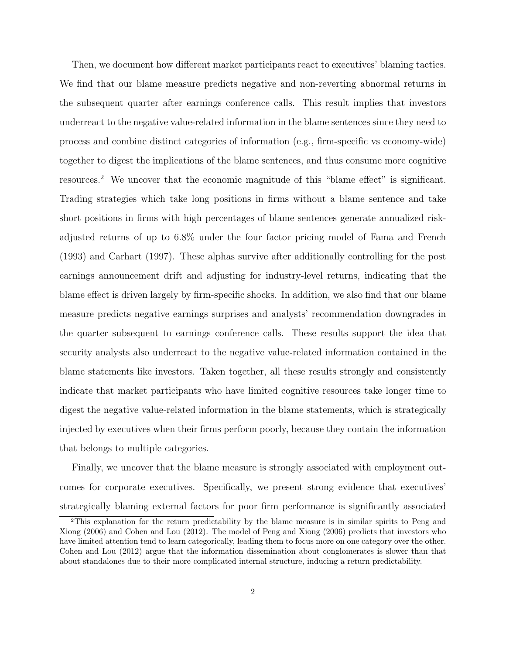Then, we document how different market participants react to executives' blaming tactics. We find that our blame measure predicts negative and non-reverting abnormal returns in the subsequent quarter after earnings conference calls. This result implies that investors underreact to the negative value-related information in the blame sentences since they need to process and combine distinct categories of information (e.g., firm-specific vs economy-wide) together to digest the implications of the blame sentences, and thus consume more cognitive resources.<sup>2</sup> We uncover that the economic magnitude of this "blame effect" is significant. Trading strategies which take long positions in firms without a blame sentence and take short positions in firms with high percentages of blame sentences generate annualized riskadjusted returns of up to 6.8% under the four factor pricing model of Fama and French (1993) and Carhart (1997). These alphas survive after additionally controlling for the post earnings announcement drift and adjusting for industry-level returns, indicating that the blame effect is driven largely by firm-specific shocks. In addition, we also find that our blame measure predicts negative earnings surprises and analysts' recommendation downgrades in the quarter subsequent to earnings conference calls. These results support the idea that security analysts also underreact to the negative value-related information contained in the blame statements like investors. Taken together, all these results strongly and consistently indicate that market participants who have limited cognitive resources take longer time to digest the negative value-related information in the blame statements, which is strategically injected by executives when their firms perform poorly, because they contain the information that belongs to multiple categories.

Finally, we uncover that the blame measure is strongly associated with employment outcomes for corporate executives. Specifically, we present strong evidence that executives' strategically blaming external factors for poor firm performance is significantly associated

<sup>2</sup>This explanation for the return predictability by the blame measure is in similar spirits to Peng and Xiong (2006) and Cohen and Lou (2012). The model of Peng and Xiong (2006) predicts that investors who have limited attention tend to learn categorically, leading them to focus more on one category over the other. Cohen and Lou (2012) argue that the information dissemination about conglomerates is slower than that about standalones due to their more complicated internal structure, inducing a return predictability.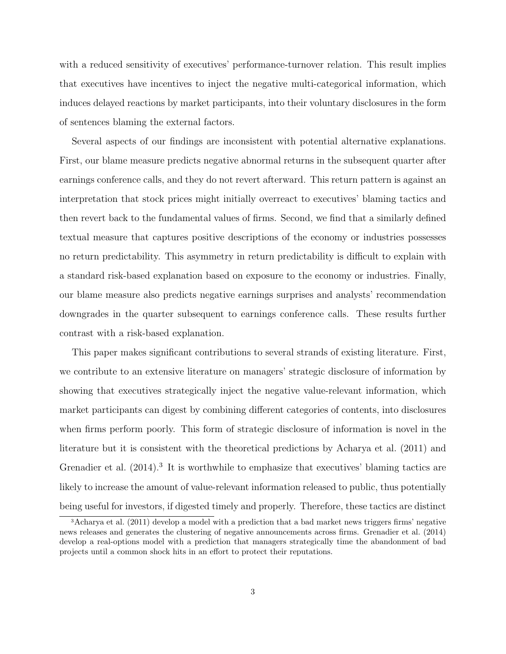with a reduced sensitivity of executives' performance-turnover relation. This result implies that executives have incentives to inject the negative multi-categorical information, which induces delayed reactions by market participants, into their voluntary disclosures in the form of sentences blaming the external factors.

Several aspects of our findings are inconsistent with potential alternative explanations. First, our blame measure predicts negative abnormal returns in the subsequent quarter after earnings conference calls, and they do not revert afterward. This return pattern is against an interpretation that stock prices might initially overreact to executives' blaming tactics and then revert back to the fundamental values of firms. Second, we find that a similarly defined textual measure that captures positive descriptions of the economy or industries possesses no return predictability. This asymmetry in return predictability is difficult to explain with a standard risk-based explanation based on exposure to the economy or industries. Finally, our blame measure also predicts negative earnings surprises and analysts' recommendation downgrades in the quarter subsequent to earnings conference calls. These results further contrast with a risk-based explanation.

This paper makes significant contributions to several strands of existing literature. First, we contribute to an extensive literature on managers' strategic disclosure of information by showing that executives strategically inject the negative value-relevant information, which market participants can digest by combining different categories of contents, into disclosures when firms perform poorly. This form of strategic disclosure of information is novel in the literature but it is consistent with the theoretical predictions by Acharya et al. (2011) and Grenadier et al.  $(2014).$ <sup>3</sup> It is worthwhile to emphasize that executives' blaming tactics are likely to increase the amount of value-relevant information released to public, thus potentially being useful for investors, if digested timely and properly. Therefore, these tactics are distinct

<sup>3</sup>Acharya et al. (2011) develop a model with a prediction that a bad market news triggers firms' negative news releases and generates the clustering of negative announcements across firms. Grenadier et al. (2014) develop a real-options model with a prediction that managers strategically time the abandonment of bad projects until a common shock hits in an effort to protect their reputations.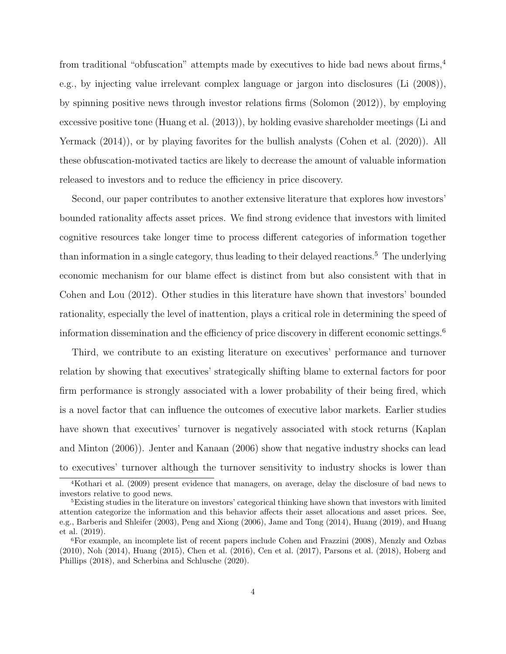from traditional "obfuscation" attempts made by executives to hide bad news about firms,<sup>4</sup> e.g., by injecting value irrelevant complex language or jargon into disclosures (Li (2008)), by spinning positive news through investor relations firms (Solomon (2012)), by employing excessive positive tone (Huang et al. (2013)), by holding evasive shareholder meetings (Li and Yermack  $(2014)$ , or by playing favorites for the bullish analysts (Cohen et al.  $(2020)$ ). All these obfuscation-motivated tactics are likely to decrease the amount of valuable information released to investors and to reduce the efficiency in price discovery.

Second, our paper contributes to another extensive literature that explores how investors' bounded rationality affects asset prices. We find strong evidence that investors with limited cognitive resources take longer time to process different categories of information together than information in a single category, thus leading to their delayed reactions.<sup>5</sup> The underlying economic mechanism for our blame effect is distinct from but also consistent with that in Cohen and Lou (2012). Other studies in this literature have shown that investors' bounded rationality, especially the level of inattention, plays a critical role in determining the speed of information dissemination and the efficiency of price discovery in different economic settings.<sup>6</sup>

Third, we contribute to an existing literature on executives' performance and turnover relation by showing that executives' strategically shifting blame to external factors for poor firm performance is strongly associated with a lower probability of their being fired, which is a novel factor that can influence the outcomes of executive labor markets. Earlier studies have shown that executives' turnover is negatively associated with stock returns (Kaplan and Minton (2006)). Jenter and Kanaan (2006) show that negative industry shocks can lead to executives' turnover although the turnover sensitivity to industry shocks is lower than

<sup>4</sup>Kothari et al. (2009) present evidence that managers, on average, delay the disclosure of bad news to investors relative to good news.

<sup>5</sup>Existing studies in the literature on investors' categorical thinking have shown that investors with limited attention categorize the information and this behavior affects their asset allocations and asset prices. See, e.g., Barberis and Shleifer (2003), Peng and Xiong (2006), Jame and Tong (2014), Huang (2019), and Huang et al. (2019).

<sup>6</sup>For example, an incomplete list of recent papers include Cohen and Frazzini (2008), Menzly and Ozbas (2010), Noh (2014), Huang (2015), Chen et al. (2016), Cen et al. (2017), Parsons et al. (2018), Hoberg and Phillips (2018), and Scherbina and Schlusche (2020).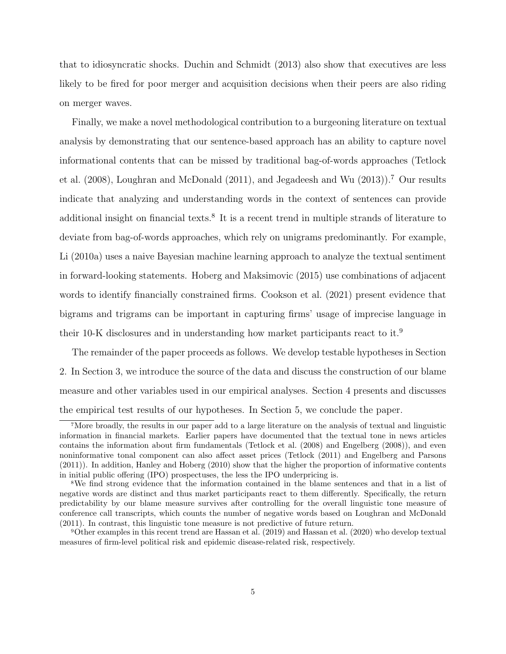that to idiosyncratic shocks. Duchin and Schmidt (2013) also show that executives are less likely to be fired for poor merger and acquisition decisions when their peers are also riding on merger waves.

Finally, we make a novel methodological contribution to a burgeoning literature on textual analysis by demonstrating that our sentence-based approach has an ability to capture novel informational contents that can be missed by traditional bag-of-words approaches (Tetlock et al. (2008), Loughran and McDonald (2011), and Jegadeesh and Wu (2013)).<sup>7</sup> Our results indicate that analyzing and understanding words in the context of sentences can provide additional insight on financial texts.<sup>8</sup> It is a recent trend in multiple strands of literature to deviate from bag-of-words approaches, which rely on unigrams predominantly. For example, Li (2010a) uses a naive Bayesian machine learning approach to analyze the textual sentiment in forward-looking statements. Hoberg and Maksimovic (2015) use combinations of adjacent words to identify financially constrained firms. Cookson et al. (2021) present evidence that bigrams and trigrams can be important in capturing firms' usage of imprecise language in their 10-K disclosures and in understanding how market participants react to it.<sup>9</sup>

The remainder of the paper proceeds as follows. We develop testable hypotheses in Section 2. In Section 3, we introduce the source of the data and discuss the construction of our blame measure and other variables used in our empirical analyses. Section 4 presents and discusses the empirical test results of our hypotheses. In Section 5, we conclude the paper.

<sup>7</sup>More broadly, the results in our paper add to a large literature on the analysis of textual and linguistic information in financial markets. Earlier papers have documented that the textual tone in news articles contains the information about firm fundamentals (Tetlock et al. (2008) and Engelberg (2008)), and even noninformative tonal component can also affect asset prices (Tetlock (2011) and Engelberg and Parsons (2011)). In addition, Hanley and Hoberg (2010) show that the higher the proportion of informative contents in initial public offering (IPO) prospectuses, the less the IPO underpricing is.

<sup>8</sup>We find strong evidence that the information contained in the blame sentences and that in a list of negative words are distinct and thus market participants react to them differently. Specifically, the return predictability by our blame measure survives after controlling for the overall linguistic tone measure of conference call transcripts, which counts the number of negative words based on Loughran and McDonald (2011). In contrast, this linguistic tone measure is not predictive of future return.

<sup>9</sup>Other examples in this recent trend are Hassan et al. (2019) and Hassan et al. (2020) who develop textual measures of firm-level political risk and epidemic disease-related risk, respectively.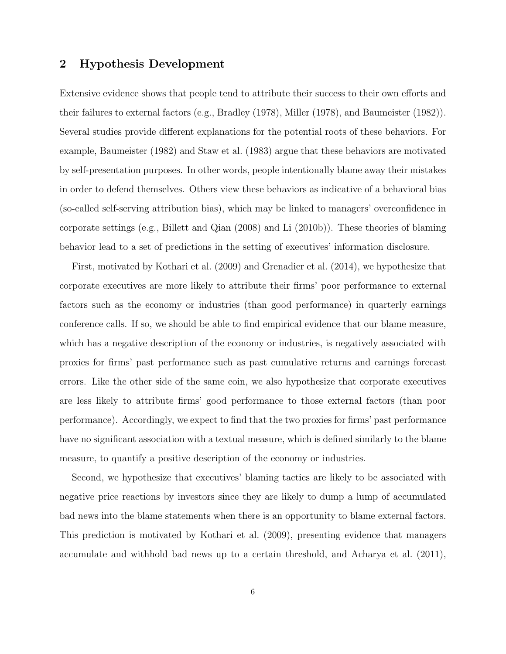## 2 Hypothesis Development

Extensive evidence shows that people tend to attribute their success to their own efforts and their failures to external factors (e.g., Bradley (1978), Miller (1978), and Baumeister (1982)). Several studies provide different explanations for the potential roots of these behaviors. For example, Baumeister (1982) and Staw et al. (1983) argue that these behaviors are motivated by self-presentation purposes. In other words, people intentionally blame away their mistakes in order to defend themselves. Others view these behaviors as indicative of a behavioral bias (so-called self-serving attribution bias), which may be linked to managers' overconfidence in corporate settings (e.g., Billett and Qian (2008) and Li (2010b)). These theories of blaming behavior lead to a set of predictions in the setting of executives' information disclosure.

First, motivated by Kothari et al. (2009) and Grenadier et al. (2014), we hypothesize that corporate executives are more likely to attribute their firms' poor performance to external factors such as the economy or industries (than good performance) in quarterly earnings conference calls. If so, we should be able to find empirical evidence that our blame measure, which has a negative description of the economy or industries, is negatively associated with proxies for firms' past performance such as past cumulative returns and earnings forecast errors. Like the other side of the same coin, we also hypothesize that corporate executives are less likely to attribute firms' good performance to those external factors (than poor performance). Accordingly, we expect to find that the two proxies for firms' past performance have no significant association with a textual measure, which is defined similarly to the blame measure, to quantify a positive description of the economy or industries.

Second, we hypothesize that executives' blaming tactics are likely to be associated with negative price reactions by investors since they are likely to dump a lump of accumulated bad news into the blame statements when there is an opportunity to blame external factors. This prediction is motivated by Kothari et al. (2009), presenting evidence that managers accumulate and withhold bad news up to a certain threshold, and Acharya et al. (2011),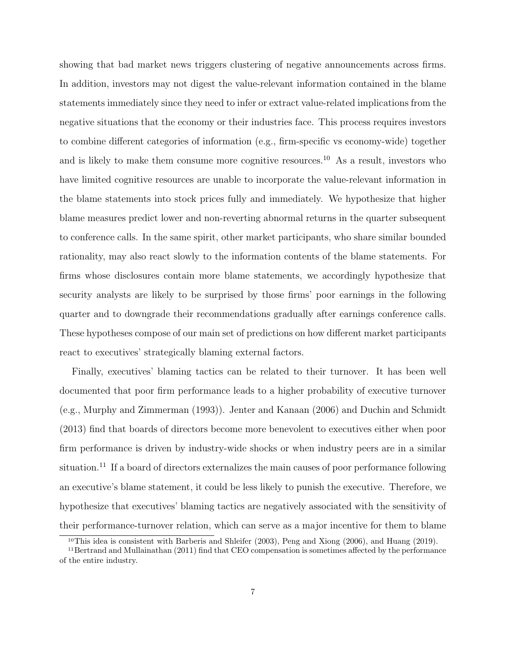showing that bad market news triggers clustering of negative announcements across firms. In addition, investors may not digest the value-relevant information contained in the blame statements immediately since they need to infer or extract value-related implications from the negative situations that the economy or their industries face. This process requires investors to combine different categories of information (e.g., firm-specific vs economy-wide) together and is likely to make them consume more cognitive resources.<sup>10</sup> As a result, investors who have limited cognitive resources are unable to incorporate the value-relevant information in the blame statements into stock prices fully and immediately. We hypothesize that higher blame measures predict lower and non-reverting abnormal returns in the quarter subsequent to conference calls. In the same spirit, other market participants, who share similar bounded rationality, may also react slowly to the information contents of the blame statements. For firms whose disclosures contain more blame statements, we accordingly hypothesize that security analysts are likely to be surprised by those firms' poor earnings in the following quarter and to downgrade their recommendations gradually after earnings conference calls. These hypotheses compose of our main set of predictions on how different market participants react to executives' strategically blaming external factors.

Finally, executives' blaming tactics can be related to their turnover. It has been well documented that poor firm performance leads to a higher probability of executive turnover (e.g., Murphy and Zimmerman (1993)). Jenter and Kanaan (2006) and Duchin and Schmidt (2013) find that boards of directors become more benevolent to executives either when poor firm performance is driven by industry-wide shocks or when industry peers are in a similar situation.<sup>11</sup> If a board of directors externalizes the main causes of poor performance following an executive's blame statement, it could be less likely to punish the executive. Therefore, we hypothesize that executives' blaming tactics are negatively associated with the sensitivity of their performance-turnover relation, which can serve as a major incentive for them to blame

<sup>10</sup>This idea is consistent with Barberis and Shleifer (2003), Peng and Xiong (2006), and Huang (2019).

<sup>11</sup>Bertrand and Mullainathan (2011) find that CEO compensation is sometimes affected by the performance of the entire industry.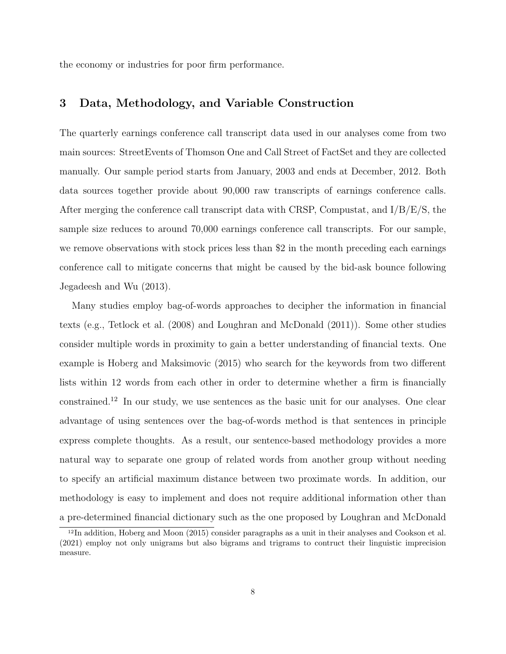the economy or industries for poor firm performance.

## 3 Data, Methodology, and Variable Construction

The quarterly earnings conference call transcript data used in our analyses come from two main sources: StreetEvents of Thomson One and Call Street of FactSet and they are collected manually. Our sample period starts from January, 2003 and ends at December, 2012. Both data sources together provide about 90,000 raw transcripts of earnings conference calls. After merging the conference call transcript data with CRSP, Compustat, and  $I/B/E/S$ , the sample size reduces to around 70,000 earnings conference call transcripts. For our sample, we remove observations with stock prices less than \$2 in the month preceding each earnings conference call to mitigate concerns that might be caused by the bid-ask bounce following Jegadeesh and Wu (2013).

Many studies employ bag-of-words approaches to decipher the information in financial texts (e.g., Tetlock et al. (2008) and Loughran and McDonald (2011)). Some other studies consider multiple words in proximity to gain a better understanding of financial texts. One example is Hoberg and Maksimovic (2015) who search for the keywords from two different lists within 12 words from each other in order to determine whether a firm is financially constrained.<sup>12</sup> In our study, we use sentences as the basic unit for our analyses. One clear advantage of using sentences over the bag-of-words method is that sentences in principle express complete thoughts. As a result, our sentence-based methodology provides a more natural way to separate one group of related words from another group without needing to specify an artificial maximum distance between two proximate words. In addition, our methodology is easy to implement and does not require additional information other than a pre-determined financial dictionary such as the one proposed by Loughran and McDonald

<sup>12</sup>In addition, Hoberg and Moon (2015) consider paragraphs as a unit in their analyses and Cookson et al. (2021) employ not only unigrams but also bigrams and trigrams to contruct their linguistic imprecision measure.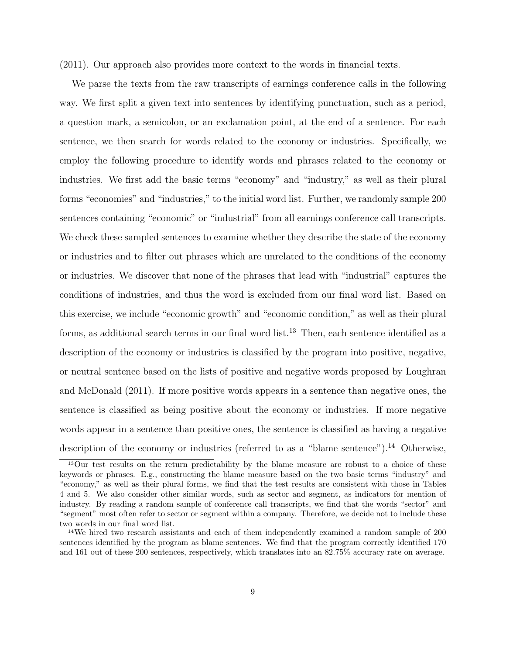(2011). Our approach also provides more context to the words in financial texts.

We parse the texts from the raw transcripts of earnings conference calls in the following way. We first split a given text into sentences by identifying punctuation, such as a period, a question mark, a semicolon, or an exclamation point, at the end of a sentence. For each sentence, we then search for words related to the economy or industries. Specifically, we employ the following procedure to identify words and phrases related to the economy or industries. We first add the basic terms "economy" and "industry," as well as their plural forms "economies" and "industries," to the initial word list. Further, we randomly sample 200 sentences containing "economic" or "industrial" from all earnings conference call transcripts. We check these sampled sentences to examine whether they describe the state of the economy or industries and to filter out phrases which are unrelated to the conditions of the economy or industries. We discover that none of the phrases that lead with "industrial" captures the conditions of industries, and thus the word is excluded from our final word list. Based on this exercise, we include "economic growth" and "economic condition," as well as their plural forms, as additional search terms in our final word list.<sup>13</sup> Then, each sentence identified as a description of the economy or industries is classified by the program into positive, negative, or neutral sentence based on the lists of positive and negative words proposed by Loughran and McDonald (2011). If more positive words appears in a sentence than negative ones, the sentence is classified as being positive about the economy or industries. If more negative words appear in a sentence than positive ones, the sentence is classified as having a negative description of the economy or industries (referred to as a "blame sentence").<sup>14</sup> Otherwise,

<sup>&</sup>lt;sup>13</sup>Our test results on the return predictability by the blame measure are robust to a choice of these keywords or phrases. E.g., constructing the blame measure based on the two basic terms "industry" and "economy," as well as their plural forms, we find that the test results are consistent with those in Tables 4 and 5. We also consider other similar words, such as sector and segment, as indicators for mention of industry. By reading a random sample of conference call transcripts, we find that the words "sector" and "segment" most often refer to sector or segment within a company. Therefore, we decide not to include these two words in our final word list.

<sup>&</sup>lt;sup>14</sup>We hired two research assistants and each of them independently examined a random sample of 200 sentences identified by the program as blame sentences. We find that the program correctly identified 170 and 161 out of these 200 sentences, respectively, which translates into an 82.75% accuracy rate on average.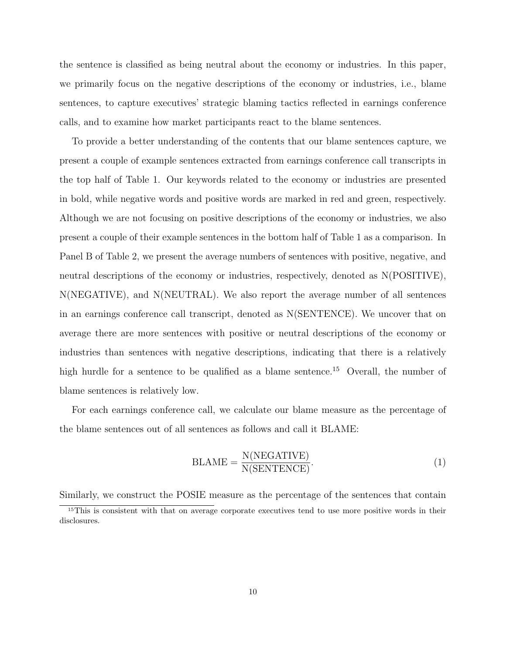the sentence is classified as being neutral about the economy or industries. In this paper, we primarily focus on the negative descriptions of the economy or industries, i.e., blame sentences, to capture executives' strategic blaming tactics reflected in earnings conference calls, and to examine how market participants react to the blame sentences.

To provide a better understanding of the contents that our blame sentences capture, we present a couple of example sentences extracted from earnings conference call transcripts in the top half of Table 1. Our keywords related to the economy or industries are presented in bold, while negative words and positive words are marked in red and green, respectively. Although we are not focusing on positive descriptions of the economy or industries, we also present a couple of their example sentences in the bottom half of Table 1 as a comparison. In Panel B of Table 2, we present the average numbers of sentences with positive, negative, and neutral descriptions of the economy or industries, respectively, denoted as N(POSITIVE), N(NEGATIVE), and N(NEUTRAL). We also report the average number of all sentences in an earnings conference call transcript, denoted as N(SENTENCE). We uncover that on average there are more sentences with positive or neutral descriptions of the economy or industries than sentences with negative descriptions, indicating that there is a relatively high hurdle for a sentence to be qualified as a blame sentence.<sup>15</sup> Overall, the number of blame sentences is relatively low.

For each earnings conference call, we calculate our blame measure as the percentage of the blame sentences out of all sentences as follows and call it BLAME:

$$
BLAME = \frac{N(NEGATIVE)}{N(SENTERCE)}.
$$
\n(1)

Similarly, we construct the POSIE measure as the percentage of the sentences that contain

<sup>&</sup>lt;sup>15</sup>This is consistent with that on average corporate executives tend to use more positive words in their disclosures.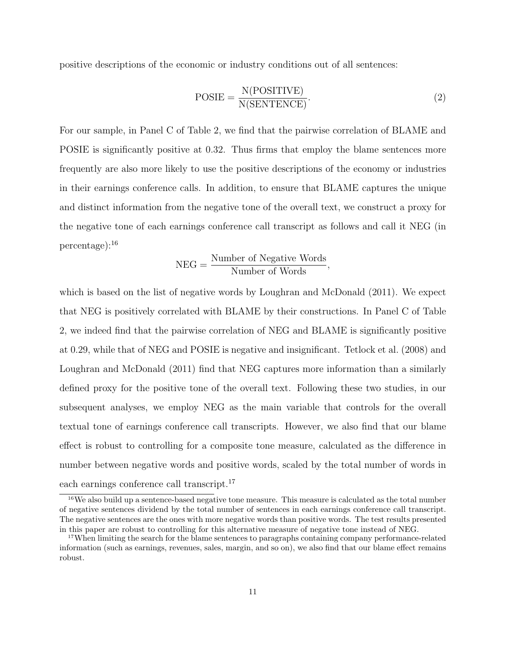positive descriptions of the economic or industry conditions out of all sentences:

$$
POSIE = \frac{N(POSITIVE)}{N(SENTERCE)}.
$$
\n(2)

For our sample, in Panel C of Table 2, we find that the pairwise correlation of BLAME and POSIE is significantly positive at 0.32. Thus firms that employ the blame sentences more frequently are also more likely to use the positive descriptions of the economy or industries in their earnings conference calls. In addition, to ensure that BLAME captures the unique and distinct information from the negative tone of the overall text, we construct a proxy for the negative tone of each earnings conference call transcript as follows and call it NEG (in percentage):<sup>16</sup>

$$
NEG = \frac{Number\ of\ Negative\ Words}{Number\ of\ Words},
$$

which is based on the list of negative words by Loughran and McDonald (2011). We expect that NEG is positively correlated with BLAME by their constructions. In Panel C of Table 2, we indeed find that the pairwise correlation of NEG and BLAME is significantly positive at 0.29, while that of NEG and POSIE is negative and insignificant. Tetlock et al. (2008) and Loughran and McDonald (2011) find that NEG captures more information than a similarly defined proxy for the positive tone of the overall text. Following these two studies, in our subsequent analyses, we employ NEG as the main variable that controls for the overall textual tone of earnings conference call transcripts. However, we also find that our blame effect is robust to controlling for a composite tone measure, calculated as the difference in number between negative words and positive words, scaled by the total number of words in each earnings conference call transcript.<sup>17</sup>

<sup>16</sup>We also build up a sentence-based negative tone measure. This measure is calculated as the total number of negative sentences dividend by the total number of sentences in each earnings conference call transcript. The negative sentences are the ones with more negative words than positive words. The test results presented in this paper are robust to controlling for this alternative measure of negative tone instead of NEG.

<sup>17</sup>When limiting the search for the blame sentences to paragraphs containing company performance-related information (such as earnings, revenues, sales, margin, and so on), we also find that our blame effect remains robust.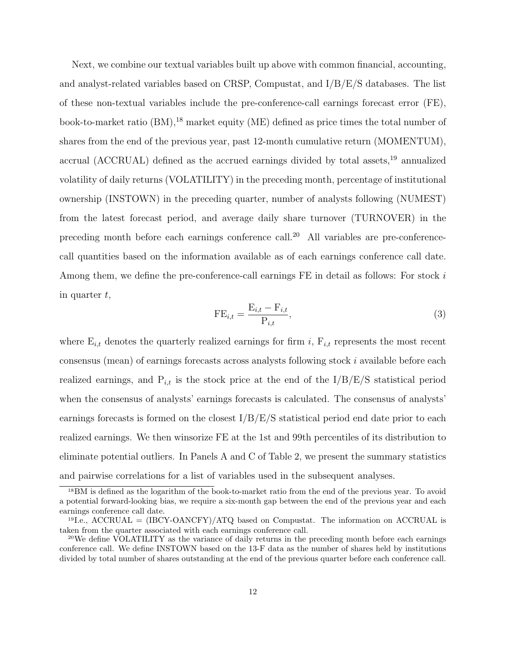Next, we combine our textual variables built up above with common financial, accounting, and analyst-related variables based on CRSP, Compustat, and  $I/B/E/S$  databases. The list of these non-textual variables include the pre-conference-call earnings forecast error (FE), book-to-market ratio  $(BM)$ , <sup>18</sup> market equity  $(ME)$  defined as price times the total number of shares from the end of the previous year, past 12-month cumulative return (MOMENTUM), accrual (ACCRUAL) defined as the accrued earnings divided by total assets,<sup>19</sup> annualized volatility of daily returns (VOLATILITY) in the preceding month, percentage of institutional ownership (INSTOWN) in the preceding quarter, number of analysts following (NUMEST) from the latest forecast period, and average daily share turnover (TURNOVER) in the preceding month before each earnings conference call.<sup>20</sup> All variables are pre-conferencecall quantities based on the information available as of each earnings conference call date. Among them, we define the pre-conference-call earnings FE in detail as follows: For stock i in quarter  $t$ ,

$$
\text{FE}_{i,t} = \frac{\text{E}_{i,t} - \text{F}_{i,t}}{\text{P}_{i,t}},\tag{3}
$$

where  $E_{i,t}$  denotes the quarterly realized earnings for firm i,  $F_{i,t}$  represents the most recent consensus (mean) of earnings forecasts across analysts following stock i available before each realized earnings, and  $P_{i,t}$  is the stock price at the end of the  $I/B/E/S$  statistical period when the consensus of analysts' earnings forecasts is calculated. The consensus of analysts' earnings forecasts is formed on the closest  $I/B/E/S$  statistical period end date prior to each realized earnings. We then winsorize FE at the 1st and 99th percentiles of its distribution to eliminate potential outliers. In Panels A and C of Table 2, we present the summary statistics and pairwise correlations for a list of variables used in the subsequent analyses.

<sup>18</sup>BM is defined as the logarithm of the book-to-market ratio from the end of the previous year. To avoid a potential forward-looking bias, we require a six-month gap between the end of the previous year and each earnings conference call date.

 $19I.e.,$  ACCRUAL =  $(IBCY-OANCFY)/ATQ$  based on Compustat. The information on ACCRUAL is taken from the quarter associated with each earnings conference call.

<sup>&</sup>lt;sup>20</sup>We define VOLATILITY as the variance of daily returns in the preceding month before each earnings conference call. We define INSTOWN based on the 13-F data as the number of shares held by institutions divided by total number of shares outstanding at the end of the previous quarter before each conference call.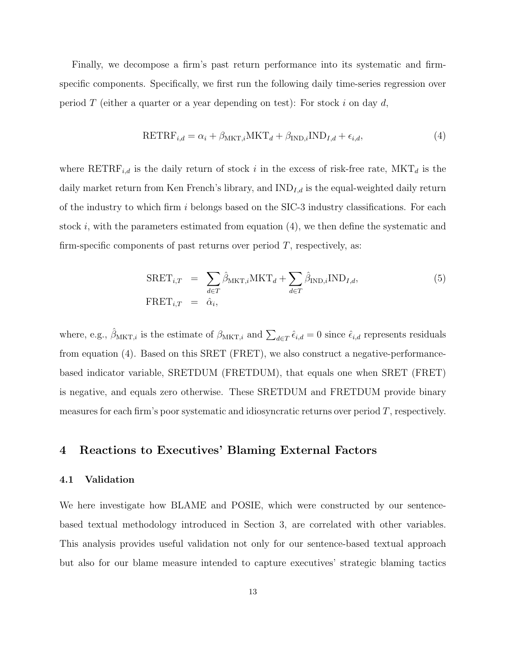Finally, we decompose a firm's past return performance into its systematic and firmspecific components. Specifically, we first run the following daily time-series regression over period T (either a quarter or a year depending on test): For stock i on day d,

$$
RETRF_{i,d} = \alpha_i + \beta_{MKT,i} MKT_d + \beta_{IND,i} IND_{I,d} + \epsilon_{i,d},
$$
\n(4)

where  $\text{RETRF}_{i,d}$  is the daily return of stock i in the excess of risk-free rate,  $\text{MKT}_d$  is the daily market return from Ken French's library, and  $IND_{I,d}$  is the equal-weighted daily return of the industry to which firm i belongs based on the  $SIC-3$  industry classifications. For each stock i, with the parameters estimated from equation  $(4)$ , we then define the systematic and firm-specific components of past returns over period  $T$ , respectively, as:

$$
SRET_{i,T} = \sum_{d \in T} \hat{\beta}_{MKT,i} MKT_d + \sum_{d \in T} \hat{\beta}_{IND,i} IND_{I,d},
$$
  
 
$$
FRET_{i,T} = \hat{\alpha}_i,
$$
 (5)

where, e.g.,  $\hat{\beta}_{\text{MKT},i}$  is the estimate of  $\beta_{\text{MKT},i}$  and  $\sum_{d\in\mathcal{I}} \hat{\epsilon}_{i,d} = 0$  since  $\hat{\epsilon}_{i,d}$  represents residuals from equation (4). Based on this SRET (FRET), we also construct a negative-performancebased indicator variable, SRETDUM (FRETDUM), that equals one when SRET (FRET) is negative, and equals zero otherwise. These SRETDUM and FRETDUM provide binary measures for each firm's poor systematic and idiosyncratic returns over period T, respectively.

## 4 Reactions to Executives' Blaming External Factors

### 4.1 Validation

We here investigate how BLAME and POSIE, which were constructed by our sentencebased textual methodology introduced in Section 3, are correlated with other variables. This analysis provides useful validation not only for our sentence-based textual approach but also for our blame measure intended to capture executives' strategic blaming tactics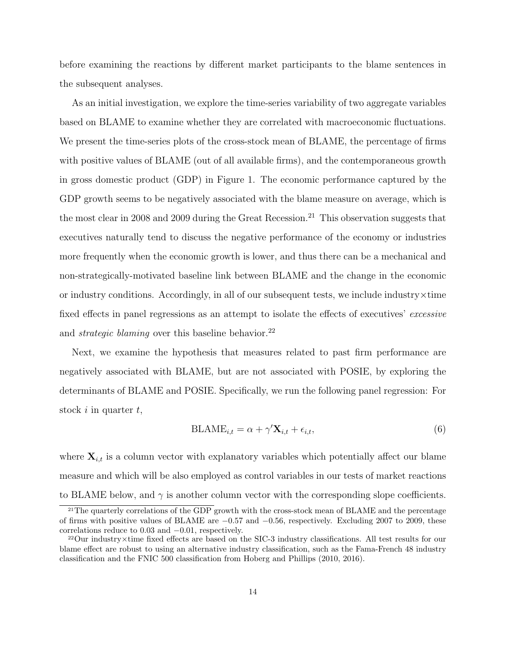before examining the reactions by different market participants to the blame sentences in the subsequent analyses.

As an initial investigation, we explore the time-series variability of two aggregate variables based on BLAME to examine whether they are correlated with macroeconomic fluctuations. We present the time-series plots of the cross-stock mean of BLAME, the percentage of firms with positive values of BLAME (out of all available firms), and the contemporaneous growth in gross domestic product (GDP) in Figure 1. The economic performance captured by the GDP growth seems to be negatively associated with the blame measure on average, which is the most clear in 2008 and 2009 during the Great Recession.<sup>21</sup> This observation suggests that executives naturally tend to discuss the negative performance of the economy or industries more frequently when the economic growth is lower, and thus there can be a mechanical and non-strategically-motivated baseline link between BLAME and the change in the economic or industry conditions. Accordingly, in all of our subsequent tests, we include industry $\times$ time fixed effects in panel regressions as an attempt to isolate the effects of executives' excessive and *strategic blaming* over this baseline behavior.<sup>22</sup>

Next, we examine the hypothesis that measures related to past firm performance are negatively associated with BLAME, but are not associated with POSIE, by exploring the determinants of BLAME and POSIE. Specifically, we run the following panel regression: For stock  $i$  in quarter  $t$ ,

$$
BLAME_{i,t} = \alpha + \gamma' \mathbf{X}_{i,t} + \epsilon_{i,t},\tag{6}
$$

where  $\mathbf{X}_{i,t}$  is a column vector with explanatory variables which potentially affect our blame measure and which will be also employed as control variables in our tests of market reactions to BLAME below, and  $\gamma$  is another column vector with the corresponding slope coefficients.

<sup>&</sup>lt;sup>21</sup>The quarterly correlations of the GDP growth with the cross-stock mean of BLAME and the percentage of firms with positive values of BLAME are −0.57 and −0.56, respectively. Excluding 2007 to 2009, these correlations reduce to 0.03 and −0.01, respectively.

<sup>22</sup>Our industry×time fixed effects are based on the SIC-3 industry classifications. All test results for our blame effect are robust to using an alternative industry classification, such as the Fama-French 48 industry classification and the FNIC 500 classification from Hoberg and Phillips (2010, 2016).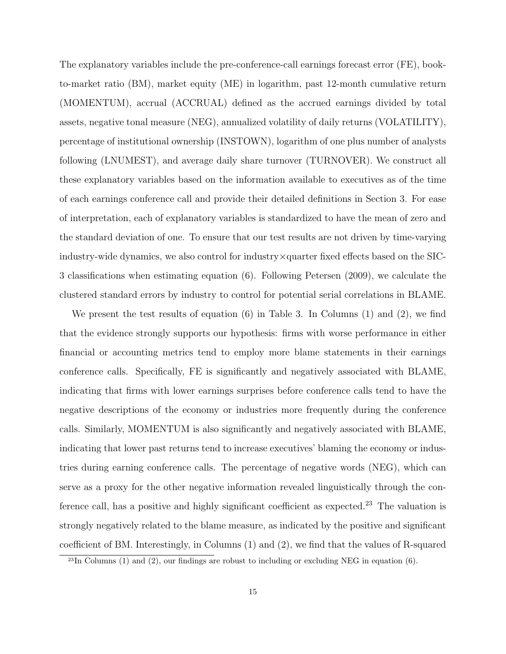The explanatory variables include the pre-conference-call earnings forecast error (FE), bookto-market ratio (BM), market equity (ME) in logarithm, past 12-month cumulative return (MOMENTUM), accrual (ACCRUAL) defined as the accrued earnings divided by total assets, negative tonal measure (NEG), annualized volatility of daily returns (VOLATILITY), percentage of institutional ownership (INSTOWN), logarithm of one plus number of analysts following (LNUMEST), and average daily share turnover (TURNOVER). We construct all these explanatory variables based on the information available to executives as of the time of each earnings conference call and provide their detailed definitions in Section 3. For ease of interpretation, each of explanatory variables is standardized to have the mean of zero and the standard deviation of one. To ensure that our test results are not driven by time-varying industry-wide dynamics, we also control for industry×quarter fixed effects based on the SIC-3 classifications when estimating equation (6). Following Petersen (2009), we calculate the clustered standard errors by industry to control for potential serial correlations in BLAME.

We present the test results of equation (6) in Table 3. In Columns (1) and (2), we find that the evidence strongly supports our hypothesis: firms with worse performance in either financial or accounting metrics tend to employ more blame statements in their earnings conference calls. Specifically, FE is significantly and negatively associated with BLAME, indicating that firms with lower earnings surprises before conference calls tend to have the negative descriptions of the economy or industries more frequently during the conference calls. Similarly, MOMENTUM is also significantly and negatively associated with BLAME, indicating that lower past returns tend to increase executives' blaming the economy or industries during earning conference calls. The percentage of negative words (NEG), which can serve as a proxy for the other negative information revealed linguistically through the conference call, has a positive and highly significant coefficient as expected.<sup>23</sup> The valuation is strongly negatively related to the blame measure, as indicated by the positive and significant coefficient of BM. Interestingly, in Columns (1) and (2), we find that the values of R-squared

 $23$ In Columns (1) and (2), our findings are robust to including or excluding NEG in equation (6).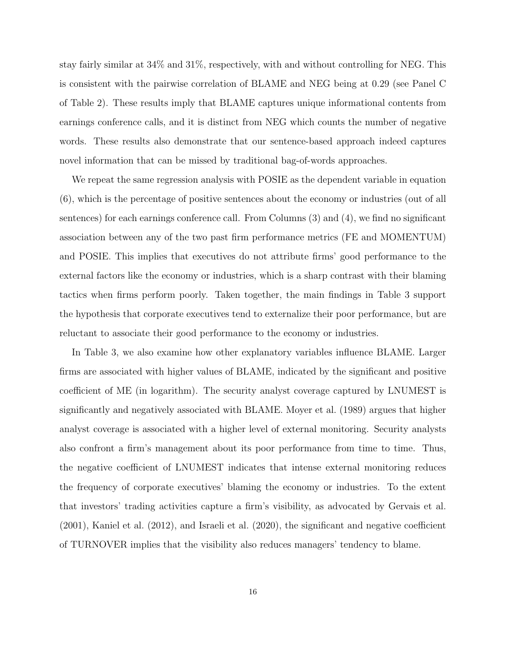stay fairly similar at 34% and 31%, respectively, with and without controlling for NEG. This is consistent with the pairwise correlation of BLAME and NEG being at 0.29 (see Panel C of Table 2). These results imply that BLAME captures unique informational contents from earnings conference calls, and it is distinct from NEG which counts the number of negative words. These results also demonstrate that our sentence-based approach indeed captures novel information that can be missed by traditional bag-of-words approaches.

We repeat the same regression analysis with POSIE as the dependent variable in equation (6), which is the percentage of positive sentences about the economy or industries (out of all sentences) for each earnings conference call. From Columns (3) and (4), we find no significant association between any of the two past firm performance metrics (FE and MOMENTUM) and POSIE. This implies that executives do not attribute firms' good performance to the external factors like the economy or industries, which is a sharp contrast with their blaming tactics when firms perform poorly. Taken together, the main findings in Table 3 support the hypothesis that corporate executives tend to externalize their poor performance, but are reluctant to associate their good performance to the economy or industries.

In Table 3, we also examine how other explanatory variables influence BLAME. Larger firms are associated with higher values of BLAME, indicated by the significant and positive coefficient of ME (in logarithm). The security analyst coverage captured by LNUMEST is significantly and negatively associated with BLAME. Moyer et al. (1989) argues that higher analyst coverage is associated with a higher level of external monitoring. Security analysts also confront a firm's management about its poor performance from time to time. Thus, the negative coefficient of LNUMEST indicates that intense external monitoring reduces the frequency of corporate executives' blaming the economy or industries. To the extent that investors' trading activities capture a firm's visibility, as advocated by Gervais et al. (2001), Kaniel et al. (2012), and Israeli et al. (2020), the significant and negative coefficient of TURNOVER implies that the visibility also reduces managers' tendency to blame.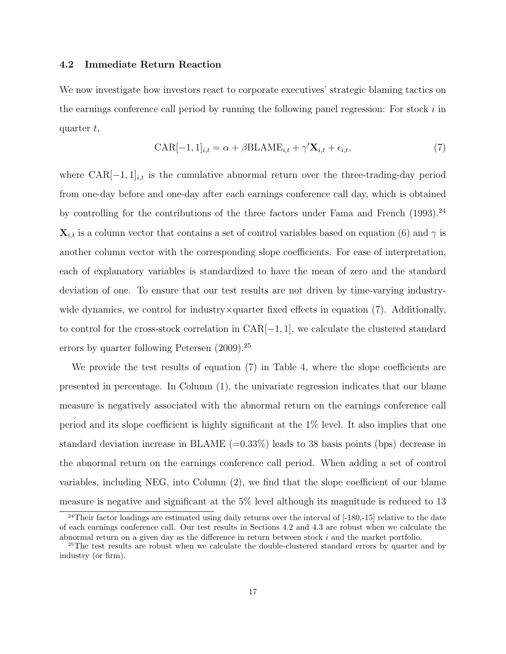## 4.2 Immediate Return Reaction

We now investigate how investors react to corporate executives' strategic blaming tactics on the earnings conference call period by running the following panel regression: For stock  $i$  in quarter  $t$ ,

$$
CAR[-1, 1]_{i,t} = \alpha + \beta BLAME_{i,t} + \gamma' \mathbf{X}_{i,t} + \epsilon_{i,t},
$$
\n(7)

where  $CAR[-1, 1]_{i,t}$  is the cumulative abnormal return over the three-trading-day period from one-day before and one-day after each earnings conference call day, which is obtained by controlling for the contributions of the three factors under Fama and French  $(1993)$ .<sup>24</sup>  $\mathbf{X}_{i,t}$  is a column vector that contains a set of control variables based on equation (6) and  $\gamma$  is another column vector with the corresponding slope coefficients. For ease of interpretation, each of explanatory variables is standardized to have the mean of zero and the standard deviation of one. To ensure that our test results are not driven by time-varying industrywide dynamics, we control for industry $\times$ quarter fixed effects in equation (7). Additionally, to control for the cross-stock correlation in  $CAR[-1, 1]$ , we calculate the clustered standard errors by quarter following Petersen  $(2009).^{25}$ 

We provide the test results of equation (7) in Table 4, where the slope coefficients are presented in percentage. In Column (1), the univariate regression indicates that our blame measure is negatively associated with the abnormal return on the earnings conference call period and its slope coefficient is highly significant at the 1% level. It also implies that one standard deviation increase in BLAME  $(=0.33\%)$  leads to 38 basis points (bps) decrease in the abnormal return on the earnings conference call period. When adding a set of control variables, including NEG, into Column (2), we find that the slope coefficient of our blame measure is negative and significant at the 5% level although its magnitude is reduced to 13

<sup>&</sup>lt;sup>24</sup>Their factor loadings are estimated using daily returns over the interval of [-180,-15] relative to the date of each earnings conference call. Our test results in Sections 4.2 and 4.3 are robust when we calculate the abnormal return on a given day as the difference in return between stock i and the market portfolio.

<sup>&</sup>lt;sup>25</sup>The test results are robust when we calculate the double-clustered standard errors by quarter and by industry (or firm).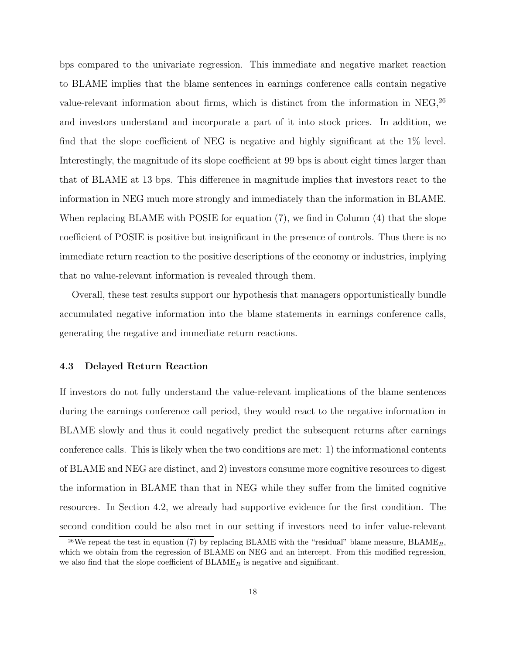bps compared to the univariate regression. This immediate and negative market reaction to BLAME implies that the blame sentences in earnings conference calls contain negative value-relevant information about firms, which is distinct from the information in NEG,  $^{26}$ and investors understand and incorporate a part of it into stock prices. In addition, we find that the slope coefficient of NEG is negative and highly significant at the 1% level. Interestingly, the magnitude of its slope coefficient at 99 bps is about eight times larger than that of BLAME at 13 bps. This difference in magnitude implies that investors react to the information in NEG much more strongly and immediately than the information in BLAME. When replacing BLAME with POSIE for equation (7), we find in Column (4) that the slope coefficient of POSIE is positive but insignificant in the presence of controls. Thus there is no immediate return reaction to the positive descriptions of the economy or industries, implying that no value-relevant information is revealed through them.

Overall, these test results support our hypothesis that managers opportunistically bundle accumulated negative information into the blame statements in earnings conference calls, generating the negative and immediate return reactions.

### 4.3 Delayed Return Reaction

If investors do not fully understand the value-relevant implications of the blame sentences during the earnings conference call period, they would react to the negative information in BLAME slowly and thus it could negatively predict the subsequent returns after earnings conference calls. This is likely when the two conditions are met: 1) the informational contents of BLAME and NEG are distinct, and 2) investors consume more cognitive resources to digest the information in BLAME than that in NEG while they suffer from the limited cognitive resources. In Section 4.2, we already had supportive evidence for the first condition. The second condition could be also met in our setting if investors need to infer value-relevant

<sup>&</sup>lt;sup>26</sup>We repeat the test in equation (7) by replacing BLAME with the "residual" blame measure, BLAME<sub>R</sub>, which we obtain from the regression of BLAME on NEG and an intercept. From this modified regression, we also find that the slope coefficient of  $BLAME_R$  is negative and significant.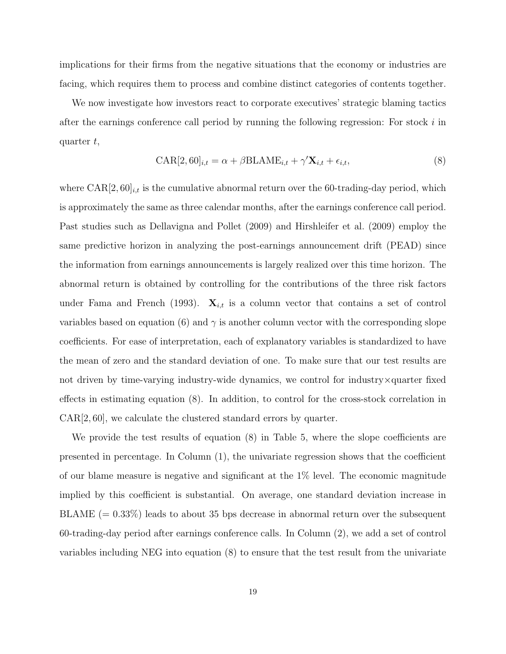implications for their firms from the negative situations that the economy or industries are facing, which requires them to process and combine distinct categories of contents together.

We now investigate how investors react to corporate executives' strategic blaming tactics after the earnings conference call period by running the following regression: For stock  $i$  in quarter  $t$ ,

$$
CAR[2, 60]_{i,t} = \alpha + \beta \text{BLAME}_{i,t} + \gamma' \mathbf{X}_{i,t} + \epsilon_{i,t},
$$
\n(8)

where  $CAR[2, 60]_{i,t}$  is the cumulative abnormal return over the 60-trading-day period, which is approximately the same as three calendar months, after the earnings conference call period. Past studies such as Dellavigna and Pollet (2009) and Hirshleifer et al. (2009) employ the same predictive horizon in analyzing the post-earnings announcement drift (PEAD) since the information from earnings announcements is largely realized over this time horizon. The abnormal return is obtained by controlling for the contributions of the three risk factors under Fama and French (1993).  $\mathbf{X}_{i,t}$  is a column vector that contains a set of control variables based on equation (6) and  $\gamma$  is another column vector with the corresponding slope coefficients. For ease of interpretation, each of explanatory variables is standardized to have the mean of zero and the standard deviation of one. To make sure that our test results are not driven by time-varying industry-wide dynamics, we control for industry×quarter fixed effects in estimating equation (8). In addition, to control for the cross-stock correlation in CAR[2, 60], we calculate the clustered standard errors by quarter.

We provide the test results of equation  $(8)$  in Table 5, where the slope coefficients are presented in percentage. In Column (1), the univariate regression shows that the coefficient of our blame measure is negative and significant at the 1% level. The economic magnitude implied by this coefficient is substantial. On average, one standard deviation increase in  $BLAME (= 0.33%)$  leads to about 35 bps decrease in abnormal return over the subsequent 60-trading-day period after earnings conference calls. In Column (2), we add a set of control variables including NEG into equation (8) to ensure that the test result from the univariate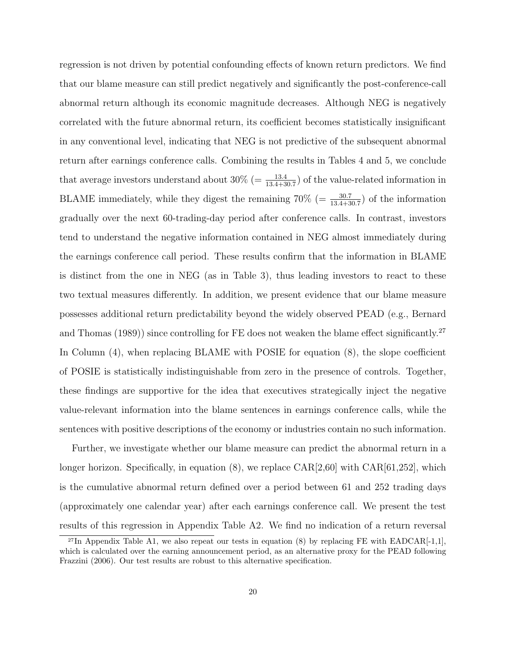regression is not driven by potential confounding effects of known return predictors. We find that our blame measure can still predict negatively and significantly the post-conference-call abnormal return although its economic magnitude decreases. Although NEG is negatively correlated with the future abnormal return, its coefficient becomes statistically insignificant in any conventional level, indicating that NEG is not predictive of the subsequent abnormal return after earnings conference calls. Combining the results in Tables 4 and 5, we conclude that average investors understand about  $30\%$  (=  $\frac{13.4}{13.4+30.7}$ ) of the value-related information in BLAME immediately, while they digest the remaining  $70\%$  (=  $\frac{30.7}{13.4+30.7}$ ) of the information gradually over the next 60-trading-day period after conference calls. In contrast, investors tend to understand the negative information contained in NEG almost immediately during the earnings conference call period. These results confirm that the information in BLAME is distinct from the one in NEG (as in Table 3), thus leading investors to react to these two textual measures differently. In addition, we present evidence that our blame measure possesses additional return predictability beyond the widely observed PEAD (e.g., Bernard and Thomas (1989)) since controlling for FE does not weaken the blame effect significantly.<sup>27</sup> In Column (4), when replacing BLAME with POSIE for equation (8), the slope coefficient of POSIE is statistically indistinguishable from zero in the presence of controls. Together, these findings are supportive for the idea that executives strategically inject the negative value-relevant information into the blame sentences in earnings conference calls, while the sentences with positive descriptions of the economy or industries contain no such information.

Further, we investigate whether our blame measure can predict the abnormal return in a longer horizon. Specifically, in equation  $(8)$ , we replace  $CAR[2,60]$  with  $CAR[61,252]$ , which is the cumulative abnormal return defined over a period between 61 and 252 trading days (approximately one calendar year) after each earnings conference call. We present the test results of this regression in Appendix Table A2. We find no indication of a return reversal

<sup>&</sup>lt;sup>27</sup>In Appendix Table A1, we also repeat our tests in equation (8) by replacing FE with EADCAR $[-1,1]$ , which is calculated over the earning announcement period, as an alternative proxy for the PEAD following Frazzini (2006). Our test results are robust to this alternative specification.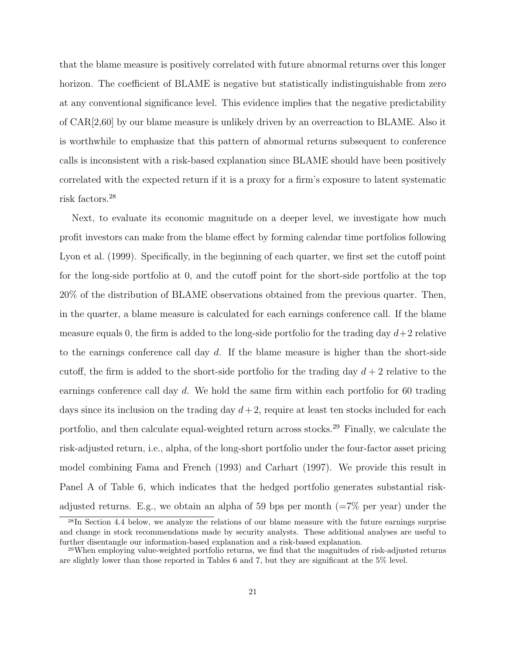that the blame measure is positively correlated with future abnormal returns over this longer horizon. The coefficient of BLAME is negative but statistically indistinguishable from zero at any conventional significance level. This evidence implies that the negative predictability of CAR[2,60] by our blame measure is unlikely driven by an overreaction to BLAME. Also it is worthwhile to emphasize that this pattern of abnormal returns subsequent to conference calls is inconsistent with a risk-based explanation since BLAME should have been positively correlated with the expected return if it is a proxy for a firm's exposure to latent systematic risk factors.<sup>28</sup>

Next, to evaluate its economic magnitude on a deeper level, we investigate how much profit investors can make from the blame effect by forming calendar time portfolios following Lyon et al. (1999). Specifically, in the beginning of each quarter, we first set the cutoff point for the long-side portfolio at 0, and the cutoff point for the short-side portfolio at the top 20% of the distribution of BLAME observations obtained from the previous quarter. Then, in the quarter, a blame measure is calculated for each earnings conference call. If the blame measure equals 0, the firm is added to the long-side portfolio for the trading day  $d+2$  relative to the earnings conference call day  $d$ . If the blame measure is higher than the short-side cutoff, the firm is added to the short-side portfolio for the trading day  $d+2$  relative to the earnings conference call day d. We hold the same firm within each portfolio for 60 trading days since its inclusion on the trading day  $d+2$ , require at least ten stocks included for each portfolio, and then calculate equal-weighted return across stocks.<sup>29</sup> Finally, we calculate the risk-adjusted return, i.e., alpha, of the long-short portfolio under the four-factor asset pricing model combining Fama and French (1993) and Carhart (1997). We provide this result in Panel A of Table 6, which indicates that the hedged portfolio generates substantial riskadjusted returns. E.g., we obtain an alpha of 59 bps per month  $(=7\%$  per year) under the

<sup>28</sup>In Section 4.4 below, we analyze the relations of our blame measure with the future earnings surprise and change in stock recommendations made by security analysts. These additional analyses are useful to further disentangle our information-based explanation and a risk-based explanation.

<sup>29</sup>When employing value-weighted portfolio returns, we find that the magnitudes of risk-adjusted returns are slightly lower than those reported in Tables 6 and 7, but they are significant at the 5% level.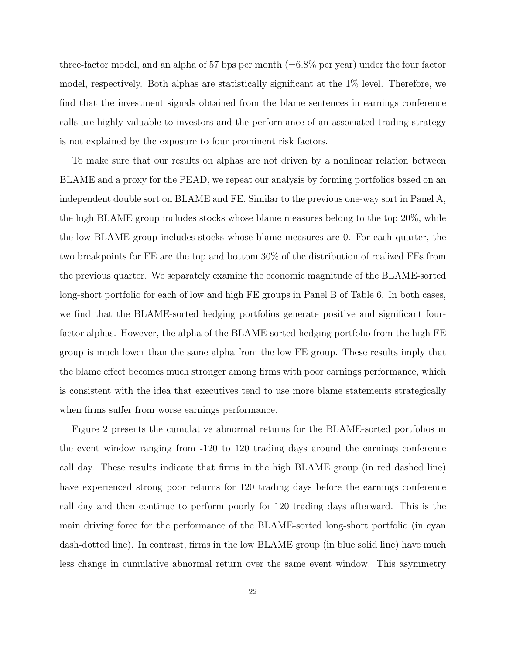three-factor model, and an alpha of 57 bps per month  $(=6.8\%$  per year) under the four factor model, respectively. Both alphas are statistically significant at the 1% level. Therefore, we find that the investment signals obtained from the blame sentences in earnings conference calls are highly valuable to investors and the performance of an associated trading strategy is not explained by the exposure to four prominent risk factors.

To make sure that our results on alphas are not driven by a nonlinear relation between BLAME and a proxy for the PEAD, we repeat our analysis by forming portfolios based on an independent double sort on BLAME and FE. Similar to the previous one-way sort in Panel A, the high BLAME group includes stocks whose blame measures belong to the top 20%, while the low BLAME group includes stocks whose blame measures are 0. For each quarter, the two breakpoints for FE are the top and bottom 30% of the distribution of realized FEs from the previous quarter. We separately examine the economic magnitude of the BLAME-sorted long-short portfolio for each of low and high FE groups in Panel B of Table 6. In both cases, we find that the BLAME-sorted hedging portfolios generate positive and significant fourfactor alphas. However, the alpha of the BLAME-sorted hedging portfolio from the high FE group is much lower than the same alpha from the low FE group. These results imply that the blame effect becomes much stronger among firms with poor earnings performance, which is consistent with the idea that executives tend to use more blame statements strategically when firms suffer from worse earnings performance.

Figure 2 presents the cumulative abnormal returns for the BLAME-sorted portfolios in the event window ranging from -120 to 120 trading days around the earnings conference call day. These results indicate that firms in the high BLAME group (in red dashed line) have experienced strong poor returns for 120 trading days before the earnings conference call day and then continue to perform poorly for 120 trading days afterward. This is the main driving force for the performance of the BLAME-sorted long-short portfolio (in cyan dash-dotted line). In contrast, firms in the low BLAME group (in blue solid line) have much less change in cumulative abnormal return over the same event window. This asymmetry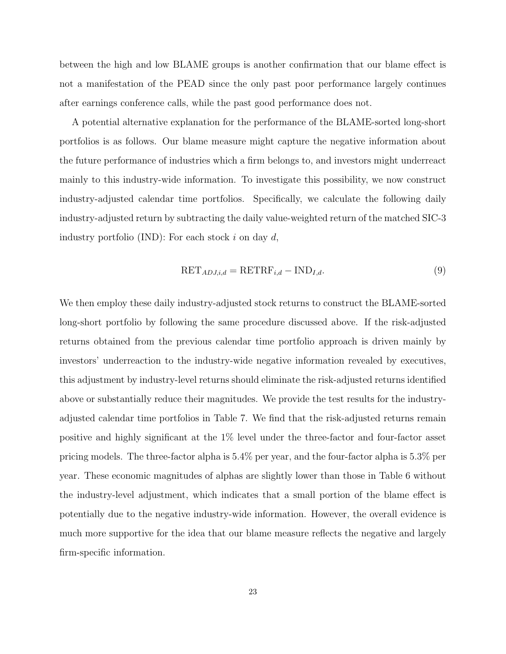between the high and low BLAME groups is another confirmation that our blame effect is not a manifestation of the PEAD since the only past poor performance largely continues after earnings conference calls, while the past good performance does not.

A potential alternative explanation for the performance of the BLAME-sorted long-short portfolios is as follows. Our blame measure might capture the negative information about the future performance of industries which a firm belongs to, and investors might underreact mainly to this industry-wide information. To investigate this possibility, we now construct industry-adjusted calendar time portfolios. Specifically, we calculate the following daily industry-adjusted return by subtracting the daily value-weighted return of the matched SIC-3 industry portfolio (IND): For each stock  $i$  on day  $d$ ,

$$
RET_{ADJ,i,d} = RETRF_{i,d} - IND_{I,d}.
$$
\n(9)

We then employ these daily industry-adjusted stock returns to construct the BLAME-sorted long-short portfolio by following the same procedure discussed above. If the risk-adjusted returns obtained from the previous calendar time portfolio approach is driven mainly by investors' underreaction to the industry-wide negative information revealed by executives, this adjustment by industry-level returns should eliminate the risk-adjusted returns identified above or substantially reduce their magnitudes. We provide the test results for the industryadjusted calendar time portfolios in Table 7. We find that the risk-adjusted returns remain positive and highly significant at the 1% level under the three-factor and four-factor asset pricing models. The three-factor alpha is 5.4% per year, and the four-factor alpha is 5.3% per year. These economic magnitudes of alphas are slightly lower than those in Table 6 without the industry-level adjustment, which indicates that a small portion of the blame effect is potentially due to the negative industry-wide information. However, the overall evidence is much more supportive for the idea that our blame measure reflects the negative and largely firm-specific information.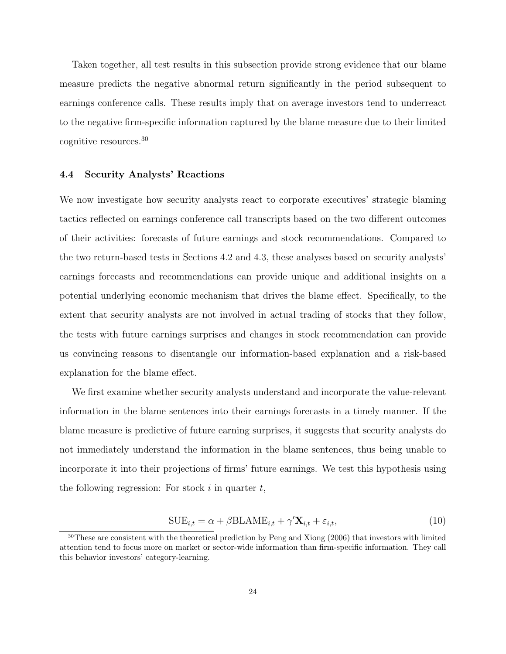Taken together, all test results in this subsection provide strong evidence that our blame measure predicts the negative abnormal return significantly in the period subsequent to earnings conference calls. These results imply that on average investors tend to underreact to the negative firm-specific information captured by the blame measure due to their limited cognitive resources.<sup>30</sup>

### 4.4 Security Analysts' Reactions

We now investigate how security analysts react to corporate executives' strategic blaming tactics reflected on earnings conference call transcripts based on the two different outcomes of their activities: forecasts of future earnings and stock recommendations. Compared to the two return-based tests in Sections 4.2 and 4.3, these analyses based on security analysts' earnings forecasts and recommendations can provide unique and additional insights on a potential underlying economic mechanism that drives the blame effect. Specifically, to the extent that security analysts are not involved in actual trading of stocks that they follow, the tests with future earnings surprises and changes in stock recommendation can provide us convincing reasons to disentangle our information-based explanation and a risk-based explanation for the blame effect.

We first examine whether security analysts understand and incorporate the value-relevant information in the blame sentences into their earnings forecasts in a timely manner. If the blame measure is predictive of future earning surprises, it suggests that security analysts do not immediately understand the information in the blame sentences, thus being unable to incorporate it into their projections of firms' future earnings. We test this hypothesis using the following regression: For stock  $i$  in quarter  $t$ ,

$$
SUE_{i,t} = \alpha + \beta BLAME_{i,t} + \gamma' \mathbf{X}_{i,t} + \varepsilon_{i,t},
$$
\n(10)

<sup>30</sup>These are consistent with the theoretical prediction by Peng and Xiong (2006) that investors with limited attention tend to focus more on market or sector-wide information than firm-specific information. They call this behavior investors' category-learning.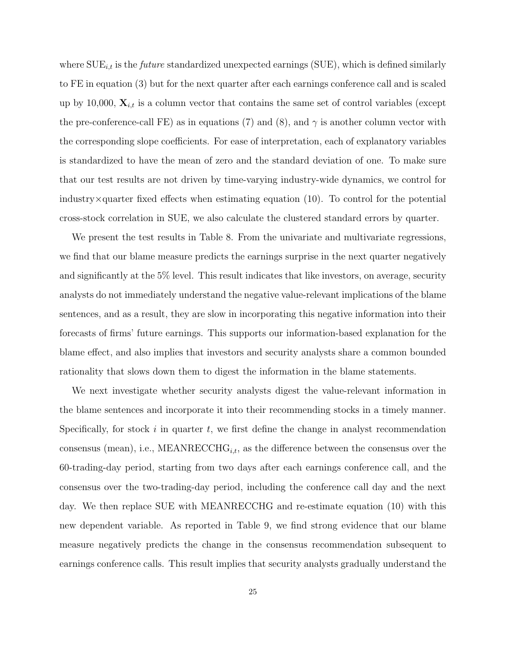where  $\text{SUE}_{i,t}$  is the *future* standardized unexpected earnings (SUE), which is defined similarly to FE in equation (3) but for the next quarter after each earnings conference call and is scaled up by 10,000,  $\mathbf{X}_{i,t}$  is a column vector that contains the same set of control variables (except the pre-conference-call FE) as in equations (7) and (8), and  $\gamma$  is another column vector with the corresponding slope coefficients. For ease of interpretation, each of explanatory variables is standardized to have the mean of zero and the standard deviation of one. To make sure that our test results are not driven by time-varying industry-wide dynamics, we control for industry $\times$ quarter fixed effects when estimating equation (10). To control for the potential cross-stock correlation in SUE, we also calculate the clustered standard errors by quarter.

We present the test results in Table 8. From the univariate and multivariate regressions, we find that our blame measure predicts the earnings surprise in the next quarter negatively and significantly at the 5% level. This result indicates that like investors, on average, security analysts do not immediately understand the negative value-relevant implications of the blame sentences, and as a result, they are slow in incorporating this negative information into their forecasts of firms' future earnings. This supports our information-based explanation for the blame effect, and also implies that investors and security analysts share a common bounded rationality that slows down them to digest the information in the blame statements.

We next investigate whether security analysts digest the value-relevant information in the blame sentences and incorporate it into their recommending stocks in a timely manner. Specifically, for stock i in quarter t, we first define the change in analyst recommendation consensus (mean), i.e., MEANRECCH $G_{i,t}$ , as the difference between the consensus over the 60-trading-day period, starting from two days after each earnings conference call, and the consensus over the two-trading-day period, including the conference call day and the next day. We then replace SUE with MEANRECCHG and re-estimate equation (10) with this new dependent variable. As reported in Table 9, we find strong evidence that our blame measure negatively predicts the change in the consensus recommendation subsequent to earnings conference calls. This result implies that security analysts gradually understand the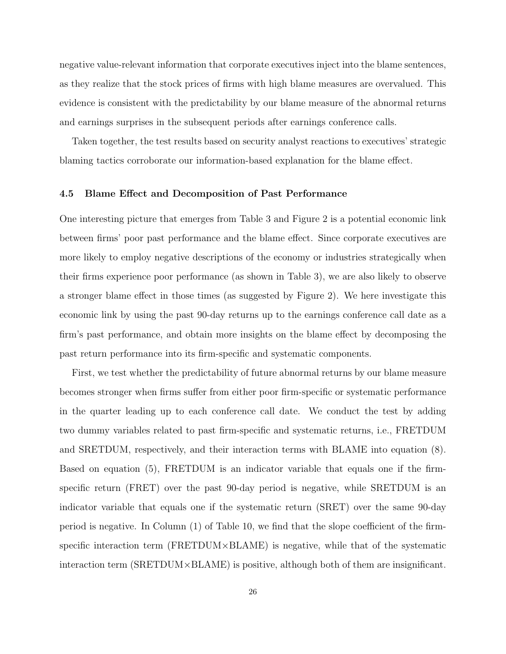negative value-relevant information that corporate executives inject into the blame sentences, as they realize that the stock prices of firms with high blame measures are overvalued. This evidence is consistent with the predictability by our blame measure of the abnormal returns and earnings surprises in the subsequent periods after earnings conference calls.

Taken together, the test results based on security analyst reactions to executives' strategic blaming tactics corroborate our information-based explanation for the blame effect.

#### 4.5 Blame Effect and Decomposition of Past Performance

One interesting picture that emerges from Table 3 and Figure 2 is a potential economic link between firms' poor past performance and the blame effect. Since corporate executives are more likely to employ negative descriptions of the economy or industries strategically when their firms experience poor performance (as shown in Table 3), we are also likely to observe a stronger blame effect in those times (as suggested by Figure 2). We here investigate this economic link by using the past 90-day returns up to the earnings conference call date as a firm's past performance, and obtain more insights on the blame effect by decomposing the past return performance into its firm-specific and systematic components.

First, we test whether the predictability of future abnormal returns by our blame measure becomes stronger when firms suffer from either poor firm-specific or systematic performance in the quarter leading up to each conference call date. We conduct the test by adding two dummy variables related to past firm-specific and systematic returns, i.e., FRETDUM and SRETDUM, respectively, and their interaction terms with BLAME into equation (8). Based on equation (5), FRETDUM is an indicator variable that equals one if the firmspecific return (FRET) over the past 90-day period is negative, while SRETDUM is an indicator variable that equals one if the systematic return (SRET) over the same 90-day period is negative. In Column (1) of Table 10, we find that the slope coefficient of the firmspecific interaction term ( $FRETDUM \times BLAME$ ) is negative, while that of the systematic interaction term (SRETDUM×BLAME) is positive, although both of them are insignificant.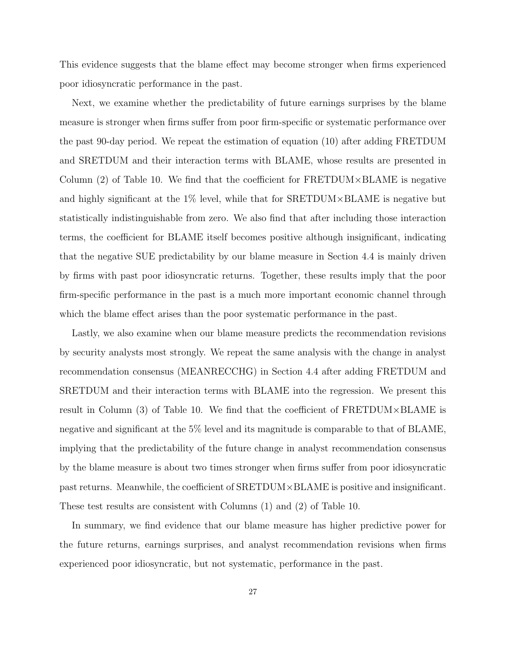This evidence suggests that the blame effect may become stronger when firms experienced poor idiosyncratic performance in the past.

Next, we examine whether the predictability of future earnings surprises by the blame measure is stronger when firms suffer from poor firm-specific or systematic performance over the past 90-day period. We repeat the estimation of equation (10) after adding FRETDUM and SRETDUM and their interaction terms with BLAME, whose results are presented in Column  $(2)$  of Table 10. We find that the coefficient for FRETDUM $\times$ BLAME is negative and highly significant at the  $1\%$  level, while that for SRETDUM $\times$ BLAME is negative but statistically indistinguishable from zero. We also find that after including those interaction terms, the coefficient for BLAME itself becomes positive although insignificant, indicating that the negative SUE predictability by our blame measure in Section 4.4 is mainly driven by firms with past poor idiosyncratic returns. Together, these results imply that the poor firm-specific performance in the past is a much more important economic channel through which the blame effect arises than the poor systematic performance in the past.

Lastly, we also examine when our blame measure predicts the recommendation revisions by security analysts most strongly. We repeat the same analysis with the change in analyst recommendation consensus (MEANRECCHG) in Section 4.4 after adding FRETDUM and SRETDUM and their interaction terms with BLAME into the regression. We present this result in Column (3) of Table 10. We find that the coefficient of FRETDUM×BLAME is negative and significant at the 5% level and its magnitude is comparable to that of BLAME, implying that the predictability of the future change in analyst recommendation consensus by the blame measure is about two times stronger when firms suffer from poor idiosyncratic past returns. Meanwhile, the coefficient of SRETDUM×BLAME is positive and insignificant. These test results are consistent with Columns (1) and (2) of Table 10.

In summary, we find evidence that our blame measure has higher predictive power for the future returns, earnings surprises, and analyst recommendation revisions when firms experienced poor idiosyncratic, but not systematic, performance in the past.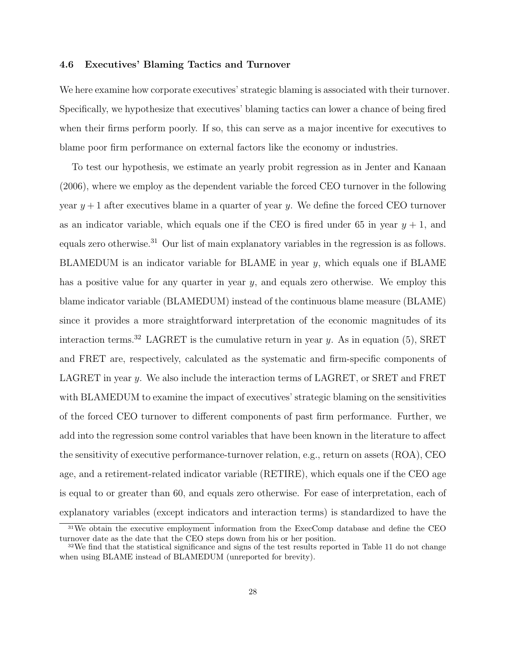#### 4.6 Executives' Blaming Tactics and Turnover

We here examine how corporate executives' strategic blaming is associated with their turnover. Specifically, we hypothesize that executives' blaming tactics can lower a chance of being fired when their firms perform poorly. If so, this can serve as a major incentive for executives to blame poor firm performance on external factors like the economy or industries.

To test our hypothesis, we estimate an yearly probit regression as in Jenter and Kanaan (2006), where we employ as the dependent variable the forced CEO turnover in the following year  $y + 1$  after executives blame in a quarter of year y. We define the forced CEO turnover as an indicator variable, which equals one if the CEO is fired under 65 in year  $y + 1$ , and equals zero otherwise.<sup>31</sup> Our list of main explanatory variables in the regression is as follows. BLAMEDUM is an indicator variable for BLAME in year y, which equals one if BLAME has a positive value for any quarter in year  $y$ , and equals zero otherwise. We employ this blame indicator variable (BLAMEDUM) instead of the continuous blame measure (BLAME) since it provides a more straightforward interpretation of the economic magnitudes of its interaction terms.<sup>32</sup> LAGRET is the cumulative return in year y. As in equation (5), SRET and FRET are, respectively, calculated as the systematic and firm-specific components of LAGRET in year y. We also include the interaction terms of LAGRET, or SRET and FRET with BLAMEDUM to examine the impact of executives' strategic blaming on the sensitivities of the forced CEO turnover to different components of past firm performance. Further, we add into the regression some control variables that have been known in the literature to affect the sensitivity of executive performance-turnover relation, e.g., return on assets (ROA), CEO age, and a retirement-related indicator variable (RETIRE), which equals one if the CEO age is equal to or greater than 60, and equals zero otherwise. For ease of interpretation, each of explanatory variables (except indicators and interaction terms) is standardized to have the

<sup>31</sup>We obtain the executive employment information from the ExecComp database and define the CEO turnover date as the date that the CEO steps down from his or her position.

<sup>32</sup>We find that the statistical significance and signs of the test results reported in Table 11 do not change when using BLAME instead of BLAMEDUM (unreported for brevity).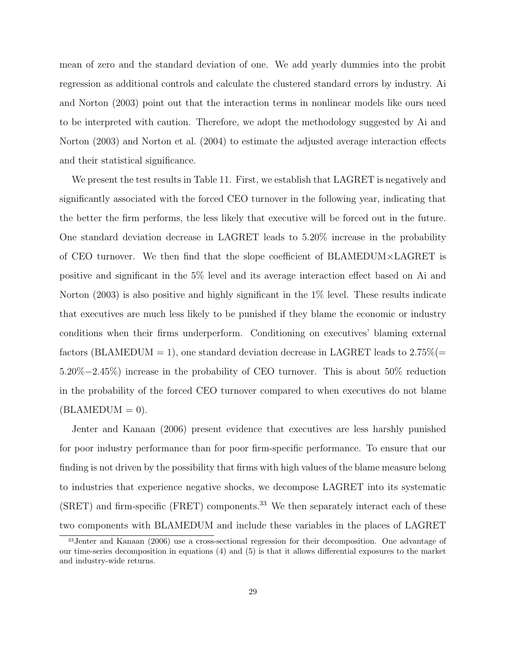mean of zero and the standard deviation of one. We add yearly dummies into the probit regression as additional controls and calculate the clustered standard errors by industry. Ai and Norton (2003) point out that the interaction terms in nonlinear models like ours need to be interpreted with caution. Therefore, we adopt the methodology suggested by Ai and Norton (2003) and Norton et al. (2004) to estimate the adjusted average interaction effects and their statistical significance.

We present the test results in Table 11. First, we establish that LAGRET is negatively and significantly associated with the forced CEO turnover in the following year, indicating that the better the firm performs, the less likely that executive will be forced out in the future. One standard deviation decrease in LAGRET leads to 5.20% increase in the probability of CEO turnover. We then find that the slope coefficient of BLAMEDUM×LAGRET is positive and significant in the 5% level and its average interaction effect based on Ai and Norton (2003) is also positive and highly significant in the 1% level. These results indicate that executives are much less likely to be punished if they blame the economic or industry conditions when their firms underperform. Conditioning on executives' blaming external factors (BLAMEDUM = 1), one standard deviation decrease in LAGRET leads to  $2.75\%$  (= 5.20%−2.45%) increase in the probability of CEO turnover. This is about 50% reduction in the probability of the forced CEO turnover compared to when executives do not blame  $(BLAMEDUM = 0).$ 

Jenter and Kanaan (2006) present evidence that executives are less harshly punished for poor industry performance than for poor firm-specific performance. To ensure that our finding is not driven by the possibility that firms with high values of the blame measure belong to industries that experience negative shocks, we decompose LAGRET into its systematic  $(SRET)$  and firm-specific (FRET) components.<sup>33</sup> We then separately interact each of these two components with BLAMEDUM and include these variables in the places of LAGRET

<sup>33</sup>Jenter and Kanaan (2006) use a cross-sectional regression for their decomposition. One advantage of our time-series decomposition in equations (4) and (5) is that it allows differential exposures to the market and industry-wide returns.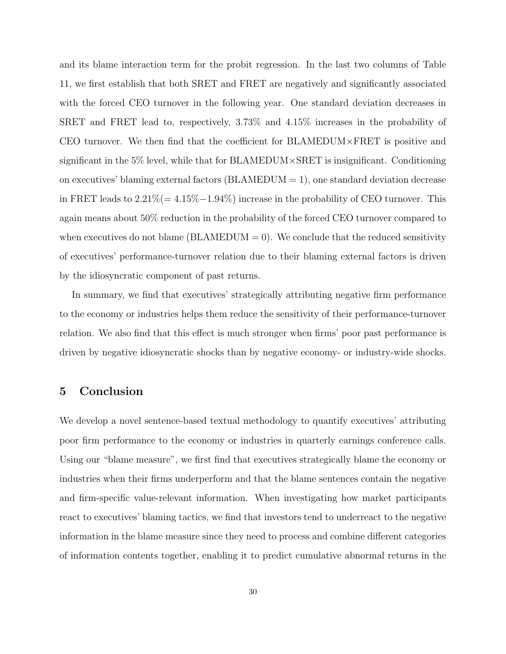and its blame interaction term for the probit regression. In the last two columns of Table 11, we first establish that both SRET and FRET are negatively and significantly associated with the forced CEO turnover in the following year. One standard deviation decreases in SRET and FRET lead to, respectively, 3.73% and 4.15% increases in the probability of CEO turnover. We then find that the coefficient for BLAMEDUM×FRET is positive and significant in the 5% level, while that for BLAMEDUM×SRET is insignificant. Conditioning on executives' blaming external factors  $(BLAMEDUM = 1)$ , one standard deviation decrease in FRET leads to  $2.21\% (= 4.15\% - 1.94\%)$  increase in the probability of CEO turnover. This again means about 50% reduction in the probability of the forced CEO turnover compared to when executives do not blame ( $BLAMEDUM = 0$ ). We conclude that the reduced sensitivity of executives' performance-turnover relation due to their blaming external factors is driven by the idiosyncratic component of past returns.

In summary, we find that executives' strategically attributing negative firm performance to the economy or industries helps them reduce the sensitivity of their performance-turnover relation. We also find that this effect is much stronger when firms' poor past performance is driven by negative idiosyncratic shocks than by negative economy- or industry-wide shocks.

## 5 Conclusion

We develop a novel sentence-based textual methodology to quantify executives' attributing poor firm performance to the economy or industries in quarterly earnings conference calls. Using our "blame measure", we first find that executives strategically blame the economy or industries when their firms underperform and that the blame sentences contain the negative and firm-specific value-relevant information. When investigating how market participants react to executives' blaming tactics, we find that investors tend to underreact to the negative information in the blame measure since they need to process and combine different categories of information contents together, enabling it to predict cumulative abnormal returns in the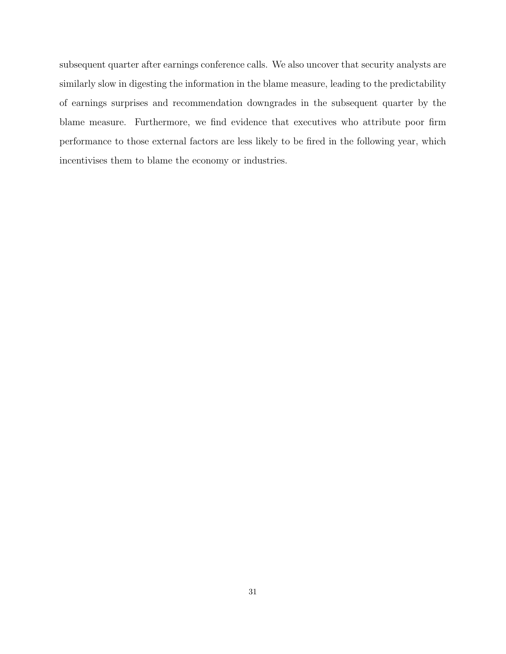subsequent quarter after earnings conference calls. We also uncover that security analysts are similarly slow in digesting the information in the blame measure, leading to the predictability of earnings surprises and recommendation downgrades in the subsequent quarter by the blame measure. Furthermore, we find evidence that executives who attribute poor firm performance to those external factors are less likely to be fired in the following year, which incentivises them to blame the economy or industries.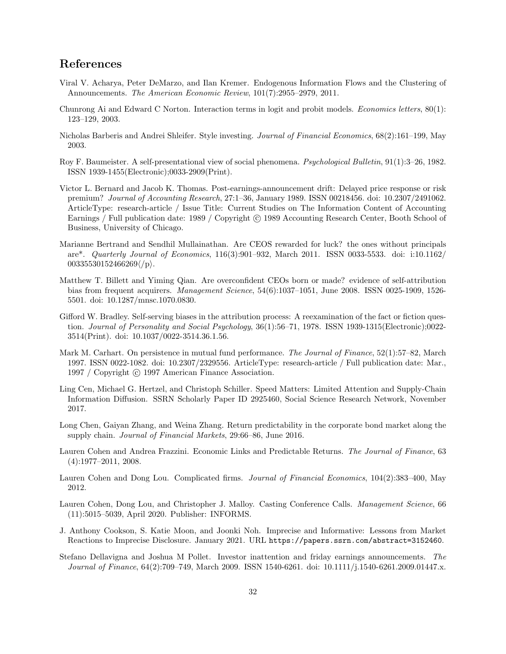# References

- Viral V. Acharya, Peter DeMarzo, and Ilan Kremer. Endogenous Information Flows and the Clustering of Announcements. The American Economic Review, 101(7):2955–2979, 2011.
- Chunrong Ai and Edward C Norton. Interaction terms in logit and probit models. Economics letters, 80(1): 123–129, 2003.
- Nicholas Barberis and Andrei Shleifer. Style investing. Journal of Financial Economics, 68(2):161–199, May 2003.
- Roy F. Baumeister. A self-presentational view of social phenomena. Psychological Bulletin, 91(1):3–26, 1982. ISSN 1939-1455(Electronic);0033-2909(Print).
- Victor L. Bernard and Jacob K. Thomas. Post-earnings-announcement drift: Delayed price response or risk premium? Journal of Accounting Research, 27:1–36, January 1989. ISSN 00218456. doi: 10.2307/2491062. ArticleType: research-article / Issue Title: Current Studies on The Information Content of Accounting Earnings / Full publication date: 1989 / Copyright © 1989 Accounting Research Center, Booth School of Business, University of Chicago.
- Marianne Bertrand and Sendhil Mullainathan. Are CEOS rewarded for luck? the ones without principals are\*. Quarterly Journal of Economics, 116(3):901–932, March 2011. ISSN 0033-5533. doi: i:10.1162/  $00335530152466269/\langle p \rangle$ .
- Matthew T. Billett and Yiming Qian. Are overconfident CEOs born or made? evidence of self-attribution bias from frequent acquirers. Management Science, 54(6):1037–1051, June 2008. ISSN 0025-1909, 1526- 5501. doi: 10.1287/mnsc.1070.0830.
- Gifford W. Bradley. Self-serving biases in the attribution process: A reexamination of the fact or fiction question. Journal of Personality and Social Psychology, 36(1):56–71, 1978. ISSN 1939-1315(Electronic);0022-3514(Print). doi: 10.1037/0022-3514.36.1.56.
- Mark M. Carhart. On persistence in mutual fund performance. The Journal of Finance, 52(1):57–82, March 1997. ISSN 0022-1082. doi: 10.2307/2329556. ArticleType: research-article / Full publication date: Mar., 1997 / Copyright © 1997 American Finance Association.
- Ling Cen, Michael G. Hertzel, and Christoph Schiller. Speed Matters: Limited Attention and Supply-Chain Information Diffusion. SSRN Scholarly Paper ID 2925460, Social Science Research Network, November 2017.
- Long Chen, Gaiyan Zhang, and Weina Zhang. Return predictability in the corporate bond market along the supply chain. Journal of Financial Markets, 29:66–86, June 2016.
- Lauren Cohen and Andrea Frazzini. Economic Links and Predictable Returns. The Journal of Finance, 63 (4):1977–2011, 2008.
- Lauren Cohen and Dong Lou. Complicated firms. Journal of Financial Economics, 104(2):383-400, May 2012.
- Lauren Cohen, Dong Lou, and Christopher J. Malloy. Casting Conference Calls. Management Science, 66 (11):5015–5039, April 2020. Publisher: INFORMS.
- J. Anthony Cookson, S. Katie Moon, and Joonki Noh. Imprecise and Informative: Lessons from Market Reactions to Imprecise Disclosure. January 2021. URL https://papers.ssrn.com/abstract=3152460.
- Stefano Dellavigna and Joshua M Pollet. Investor inattention and friday earnings announcements. The Journal of Finance, 64(2):709–749, March 2009. ISSN 1540-6261. doi: 10.1111/j.1540-6261.2009.01447.x.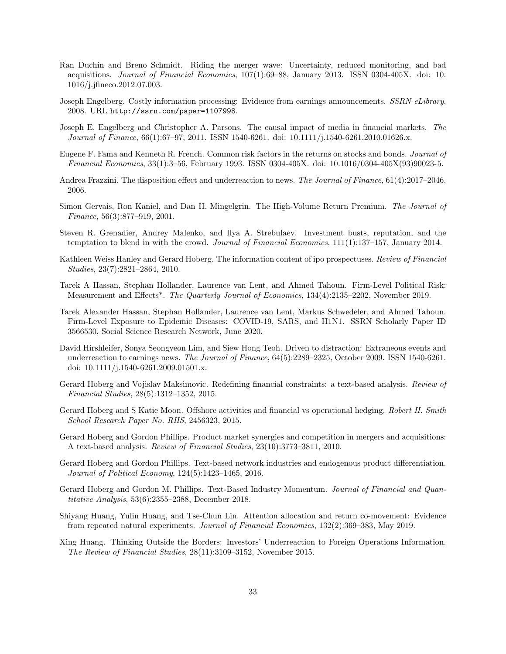- Ran Duchin and Breno Schmidt. Riding the merger wave: Uncertainty, reduced monitoring, and bad acquisitions. Journal of Financial Economics, 107(1):69–88, January 2013. ISSN 0304-405X. doi: 10. 1016/j.jfineco.2012.07.003.
- Joseph Engelberg. Costly information processing: Evidence from earnings announcements. SSRN eLibrary, 2008. URL http://ssrn.com/paper=1107998.
- Joseph E. Engelberg and Christopher A. Parsons. The causal impact of media in financial markets. The Journal of Finance, 66(1):67–97, 2011. ISSN 1540-6261. doi: 10.1111/j.1540-6261.2010.01626.x.
- Eugene F. Fama and Kenneth R. French. Common risk factors in the returns on stocks and bonds. Journal of Financial Economics, 33(1):3–56, February 1993. ISSN 0304-405X. doi: 10.1016/0304-405X(93)90023-5.
- Andrea Frazzini. The disposition effect and underreaction to news. The Journal of Finance, 61(4):2017–2046, 2006.
- Simon Gervais, Ron Kaniel, and Dan H. Mingelgrin. The High-Volume Return Premium. The Journal of Finance, 56(3):877–919, 2001.
- Steven R. Grenadier, Andrey Malenko, and Ilya A. Strebulaev. Investment busts, reputation, and the temptation to blend in with the crowd. Journal of Financial Economics, 111(1):137-157, January 2014.
- Kathleen Weiss Hanley and Gerard Hoberg. The information content of ipo prospectuses. Review of Financial Studies, 23(7):2821–2864, 2010.
- Tarek A Hassan, Stephan Hollander, Laurence van Lent, and Ahmed Tahoun. Firm-Level Political Risk: Measurement and Effects<sup>\*</sup>. The Quarterly Journal of Economics, 134(4):2135–2202, November 2019.
- Tarek Alexander Hassan, Stephan Hollander, Laurence van Lent, Markus Schwedeler, and Ahmed Tahoun. Firm-Level Exposure to Epidemic Diseases: COVID-19, SARS, and H1N1. SSRN Scholarly Paper ID 3566530, Social Science Research Network, June 2020.
- David Hirshleifer, Sonya Seongyeon Lim, and Siew Hong Teoh. Driven to distraction: Extraneous events and underreaction to earnings news. The Journal of Finance, 64(5):2289-2325, October 2009. ISSN 1540-6261. doi: 10.1111/j.1540-6261.2009.01501.x.
- Gerard Hoberg and Vojislav Maksimovic. Redefining financial constraints: a text-based analysis. Review of Financial Studies, 28(5):1312–1352, 2015.
- Gerard Hoberg and S Katie Moon. Offshore activities and financial vs operational hedging. Robert H. Smith School Research Paper No. RHS, 2456323, 2015.
- Gerard Hoberg and Gordon Phillips. Product market synergies and competition in mergers and acquisitions: A text-based analysis. Review of Financial Studies, 23(10):3773–3811, 2010.
- Gerard Hoberg and Gordon Phillips. Text-based network industries and endogenous product differentiation. Journal of Political Economy, 124(5):1423–1465, 2016.
- Gerard Hoberg and Gordon M. Phillips. Text-Based Industry Momentum. Journal of Financial and Quantitative Analysis, 53(6):2355–2388, December 2018.
- Shiyang Huang, Yulin Huang, and Tse-Chun Lin. Attention allocation and return co-movement: Evidence from repeated natural experiments. Journal of Financial Economics, 132(2):369–383, May 2019.
- Xing Huang. Thinking Outside the Borders: Investors' Underreaction to Foreign Operations Information. The Review of Financial Studies, 28(11):3109–3152, November 2015.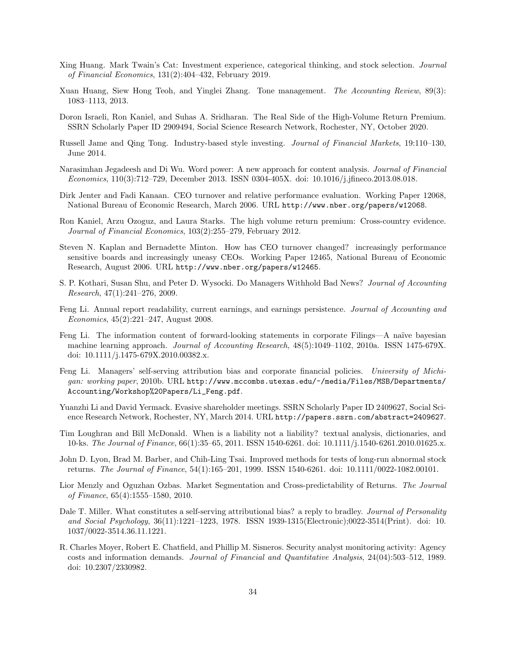- Xing Huang. Mark Twain's Cat: Investment experience, categorical thinking, and stock selection. Journal of Financial Economics, 131(2):404–432, February 2019.
- Xuan Huang, Siew Hong Teoh, and Yinglei Zhang. Tone management. The Accounting Review, 89(3): 1083–1113, 2013.
- Doron Israeli, Ron Kaniel, and Suhas A. Sridharan. The Real Side of the High-Volume Return Premium. SSRN Scholarly Paper ID 2909494, Social Science Research Network, Rochester, NY, October 2020.
- Russell Jame and Qing Tong. Industry-based style investing. Journal of Financial Markets, 19:110–130, June 2014.
- Narasimhan Jegadeesh and Di Wu. Word power: A new approach for content analysis. Journal of Financial Economics, 110(3):712–729, December 2013. ISSN 0304-405X. doi: 10.1016/j.jfineco.2013.08.018.
- Dirk Jenter and Fadi Kanaan. CEO turnover and relative performance evaluation. Working Paper 12068, National Bureau of Economic Research, March 2006. URL http://www.nber.org/papers/w12068.
- Ron Kaniel, Arzu Ozoguz, and Laura Starks. The high volume return premium: Cross-country evidence. Journal of Financial Economics, 103(2):255–279, February 2012.
- Steven N. Kaplan and Bernadette Minton. How has CEO turnover changed? increasingly performance sensitive boards and increasingly uneasy CEOs. Working Paper 12465, National Bureau of Economic Research, August 2006. URL http://www.nber.org/papers/w12465.
- S. P. Kothari, Susan Shu, and Peter D. Wysocki. Do Managers Withhold Bad News? Journal of Accounting Research, 47(1):241–276, 2009.
- Feng Li. Annual report readability, current earnings, and earnings persistence. Journal of Accounting and Economics, 45(2):221–247, August 2008.
- Feng Li. The information content of forward-looking statements in corporate Filings—A naïve bayesian machine learning approach. Journal of Accounting Research, 48(5):1049–1102, 2010a. ISSN 1475-679X. doi: 10.1111/j.1475-679X.2010.00382.x.
- Feng Li. Managers' self-serving attribution bias and corporate financial policies. University of Michigan: working paper, 2010b. URL http://www.mccombs.utexas.edu/~/media/Files/MSB/Departments/ Accounting/Workshop%20Papers/Li\_Feng.pdf.
- Yuanzhi Li and David Yermack. Evasive shareholder meetings. SSRN Scholarly Paper ID 2409627, Social Science Research Network, Rochester, NY, March 2014. URL http://papers.ssrn.com/abstract=2409627.
- Tim Loughran and Bill McDonald. When is a liability not a liability? textual analysis, dictionaries, and 10-ks. The Journal of Finance, 66(1):35–65, 2011. ISSN 1540-6261. doi: 10.1111/j.1540-6261.2010.01625.x.
- John D. Lyon, Brad M. Barber, and Chih-Ling Tsai. Improved methods for tests of long-run abnormal stock returns. The Journal of Finance, 54(1):165–201, 1999. ISSN 1540-6261. doi: 10.1111/0022-1082.00101.
- Lior Menzly and Oguzhan Ozbas. Market Segmentation and Cross-predictability of Returns. The Journal of Finance, 65(4):1555–1580, 2010.
- Dale T. Miller. What constitutes a self-serving attributional bias? a reply to bradley. Journal of Personality and Social Psychology, 36(11):1221–1223, 1978. ISSN 1939-1315(Electronic);0022-3514(Print). doi: 10. 1037/0022-3514.36.11.1221.
- R. Charles Moyer, Robert E. Chatfield, and Phillip M. Sisneros. Security analyst monitoring activity: Agency costs and information demands. Journal of Financial and Quantitative Analysis, 24(04):503–512, 1989. doi: 10.2307/2330982.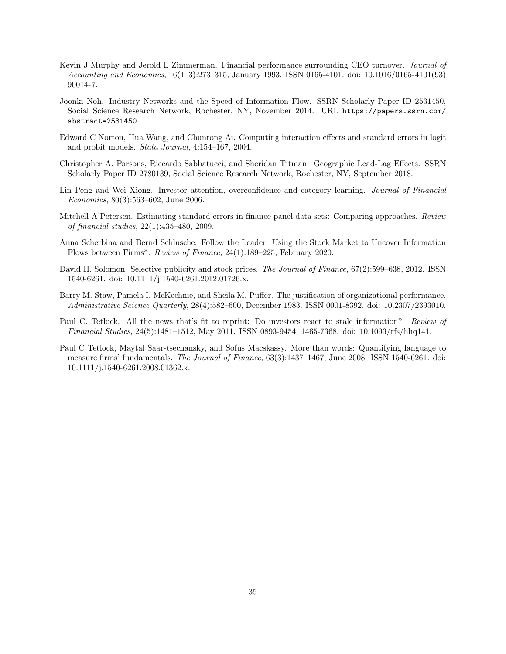- Kevin J Murphy and Jerold L Zimmerman. Financial performance surrounding CEO turnover. Journal of Accounting and Economics, 16(1–3):273–315, January 1993. ISSN 0165-4101. doi: 10.1016/0165-4101(93) 90014-7.
- Joonki Noh. Industry Networks and the Speed of Information Flow. SSRN Scholarly Paper ID 2531450, Social Science Research Network, Rochester, NY, November 2014. URL https://papers.ssrn.com/ abstract=2531450.
- Edward C Norton, Hua Wang, and Chunrong Ai. Computing interaction effects and standard errors in logit and probit models. Stata Journal, 4:154–167, 2004.
- Christopher A. Parsons, Riccardo Sabbatucci, and Sheridan Titman. Geographic Lead-Lag Effects. SSRN Scholarly Paper ID 2780139, Social Science Research Network, Rochester, NY, September 2018.
- Lin Peng and Wei Xiong. Investor attention, overconfidence and category learning. Journal of Financial Economics, 80(3):563–602, June 2006.
- Mitchell A Petersen. Estimating standard errors in finance panel data sets: Comparing approaches. Review of financial studies, 22(1):435–480, 2009.
- Anna Scherbina and Bernd Schlusche. Follow the Leader: Using the Stock Market to Uncover Information Flows between Firms\*. Review of Finance, 24(1):189–225, February 2020.
- David H. Solomon. Selective publicity and stock prices. The Journal of Finance,  $67(2):599-638$ , 2012. ISSN 1540-6261. doi: 10.1111/j.1540-6261.2012.01726.x.
- Barry M. Staw, Pamela I. McKechnie, and Sheila M. Puffer. The justification of organizational performance. Administrative Science Quarterly, 28(4):582–600, December 1983. ISSN 0001-8392. doi: 10.2307/2393010.
- Paul C. Tetlock. All the news that's fit to reprint: Do investors react to stale information? Review of Financial Studies, 24(5):1481–1512, May 2011. ISSN 0893-9454, 1465-7368. doi: 10.1093/rfs/hhq141.
- Paul C Tetlock, Maytal Saar-tsechansky, and Sofus Macskassy. More than words: Quantifying language to measure firms' fundamentals. The Journal of Finance,  $63(3):1437-1467$ , June 2008. ISSN 1540-6261. doi: 10.1111/j.1540-6261.2008.01362.x.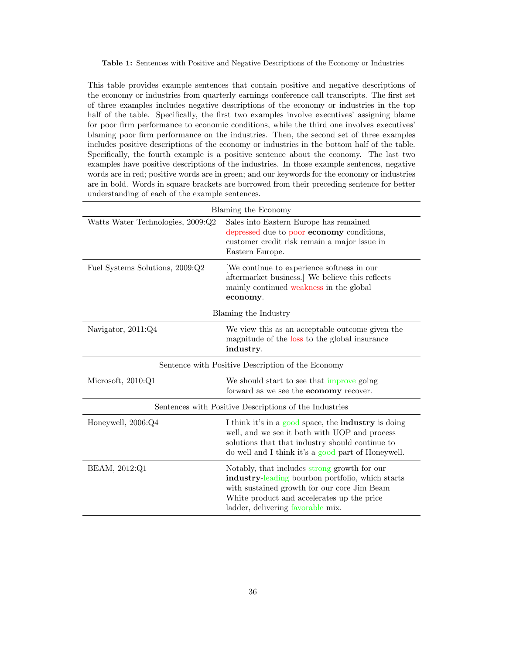Table 1: Sentences with Positive and Negative Descriptions of the Economy or Industries

This table provides example sentences that contain positive and negative descriptions of the economy or industries from quarterly earnings conference call transcripts. The first set of three examples includes negative descriptions of the economy or industries in the top half of the table. Specifically, the first two examples involve executives' assigning blame for poor firm performance to economic conditions, while the third one involves executives' blaming poor firm performance on the industries. Then, the second set of three examples includes positive descriptions of the economy or industries in the bottom half of the table. Specifically, the fourth example is a positive sentence about the economy. The last two examples have positive descriptions of the industries. In those example sentences, negative words are in red; positive words are in green; and our keywords for the economy or industries are in bold. Words in square brackets are borrowed from their preceding sentence for better understanding of each of the example sentences.

| Blaming the Economy                               |                                                                                                                                                                                                                                    |  |  |
|---------------------------------------------------|------------------------------------------------------------------------------------------------------------------------------------------------------------------------------------------------------------------------------------|--|--|
| Watts Water Technologies, 2009:Q2                 | Sales into Eastern Europe has remained<br>depressed due to poor economy conditions,<br>customer credit risk remain a major issue in<br>Eastern Europe.                                                                             |  |  |
| Fuel Systems Solutions, 2009:Q2                   | We continue to experience softness in our<br>aftermarket business.] We believe this reflects<br>mainly continued weakness in the global<br>economy.                                                                                |  |  |
|                                                   | Blaming the Industry                                                                                                                                                                                                               |  |  |
| Navigator, 2011:Q4                                | We view this as an acceptable outcome given the<br>magnitude of the loss to the global insurance<br>industry.                                                                                                                      |  |  |
| Sentence with Positive Description of the Economy |                                                                                                                                                                                                                                    |  |  |
| Microsoft, 2010:Q1                                | We should start to see that improve going<br>forward as we see the <b>economy</b> recover.                                                                                                                                         |  |  |
|                                                   | Sentences with Positive Descriptions of the Industries                                                                                                                                                                             |  |  |
| Honeywell, 2006:Q4                                | I think it's in a good space, the <b>industry</b> is doing<br>well, and we see it both with UOP and process<br>solutions that that industry should continue to<br>do well and I think it's a good part of Honeywell.               |  |  |
| BEAM, 2012:Q1                                     | Notably, that includes strong growth for our<br>industry-leading bourbon portfolio, which starts<br>with sustained growth for our core Jim Beam<br>White product and accelerates up the price<br>ladder, delivering favorable mix. |  |  |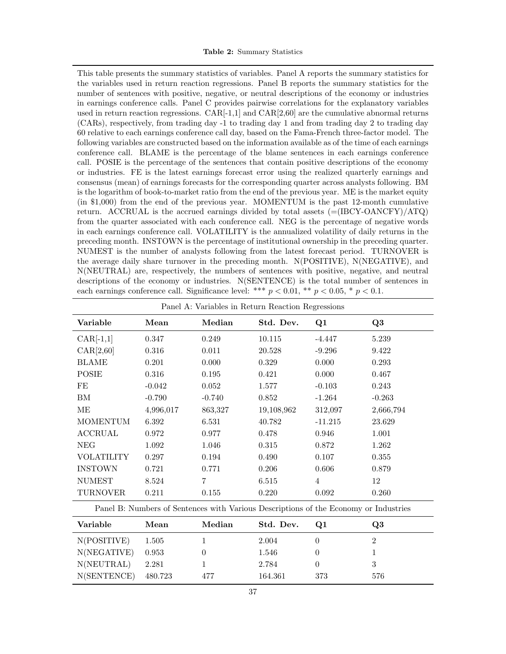This table presents the summary statistics of variables. Panel A reports the summary statistics for the variables used in return reaction regressions. Panel B reports the summary statistics for the number of sentences with positive, negative, or neutral descriptions of the economy or industries in earnings conference calls. Panel C provides pairwise correlations for the explanatory variables used in return reaction regressions.  $CAR[-1,1]$  and  $CAR[2,60]$  are the cumulative abnormal returns (CARs), respectively, from trading day -1 to trading day 1 and from trading day 2 to trading day 60 relative to each earnings conference call day, based on the Fama-French three-factor model. The following variables are constructed based on the information available as of the time of each earnings conference call. BLAME is the percentage of the blame sentences in each earnings conference call. POSIE is the percentage of the sentences that contain positive descriptions of the economy or industries. FE is the latest earnings forecast error using the realized quarterly earnings and consensus (mean) of earnings forecasts for the corresponding quarter across analysts following. BM is the logarithm of book-to-market ratio from the end of the previous year. ME is the market equity (in \$1,000) from the end of the previous year. MOMENTUM is the past 12-month cumulative return. ACCRUAL is the accrued earnings divided by total assets  $(=(\text{IBCY-OANCFY})/\text{ATQ})$ from the quarter associated with each conference call. NEG is the percentage of negative words in each earnings conference call. VOLATILITY is the annualized volatility of daily returns in the preceding month. INSTOWN is the percentage of institutional ownership in the preceding quarter. NUMEST is the number of analysts following from the latest forecast period. TURNOVER is the average daily share turnover in the preceding month. N(POSITIVE), N(NEGATIVE), and N(NEUTRAL) are, respectively, the numbers of sentences with positive, negative, and neutral descriptions of the economy or industries. N(SENTENCE) is the total number of sentences in each earnings conference call. Significance level: \*\*\*  $p < 0.01$ , \*\*  $p < 0.05$ , \*  $p < 0.1$ .

| Panel A: Variables in Return Reaction Regressions |           |                                                                                      |            |                |                |
|---------------------------------------------------|-----------|--------------------------------------------------------------------------------------|------------|----------------|----------------|
| Variable                                          | Mean      | Median                                                                               | Std. Dev.  | Q1             | Q <sub>3</sub> |
| $CAR[-1,1]$                                       | 0.347     | 0.249                                                                                | 10.115     | $-4.447$       | 5.239          |
| CAR[2,60]                                         | 0.316     | 0.011                                                                                | 20.528     | $-9.296$       | 9.422          |
| <b>BLAME</b>                                      | 0.201     | 0.000                                                                                | 0.329      | 0.000          | 0.293          |
| <b>POSIE</b>                                      | 0.316     | 0.195                                                                                | 0.421      | 0.000          | 0.467          |
| FE                                                | $-0.042$  | 0.052                                                                                | 1.577      | $-0.103$       | 0.243          |
| ΒM                                                | $-0.790$  | $-0.740$                                                                             | 0.852      | $-1.264$       | $-0.263$       |
| MЕ                                                | 4,996,017 | 863,327                                                                              | 19,108,962 | 312,097        | 2,666,794      |
| <b>MOMENTUM</b>                                   | 6.392     | 6.531                                                                                | 40.782     | $-11.215$      | 23.629         |
| <b>ACCRUAL</b>                                    | 0.972     | 0.977                                                                                | 0.478      | 0.946          | 1.001          |
| NEG                                               | 1.092     | 1.046                                                                                | 0.315      | 0.872          | 1.262          |
| <b>VOLATILITY</b>                                 | 0.297     | 0.194                                                                                | 0.490      | 0.107          | 0.355          |
| <b>INSTOWN</b>                                    | 0.721     | 0.771                                                                                | 0.206      | 0.606          | 0.879          |
| <b>NUMEST</b>                                     | 8.524     | 7                                                                                    | 6.515      | $\overline{4}$ | 12             |
| <b>TURNOVER</b>                                   | 0.211     | 0.155                                                                                | 0.220      | 0.092          | 0.260          |
|                                                   |           | Panel B: Numbers of Sentences with Various Descriptions of the Economy or Industries |            |                |                |

| Variable    | Mean    | Median | Std. Dev. | O1  | Q3  |
|-------------|---------|--------|-----------|-----|-----|
| N(POSITIVE) | 1.505   |        | 2.004     |     |     |
| N(NEGATIVE) | 0.953   |        | 1.546     |     |     |
| N(NEUTRAL)  | 2.281   |        | 2.784     |     | 3   |
| N(SENTENCE) | 480.723 | 477    | 164.361   | 373 | 576 |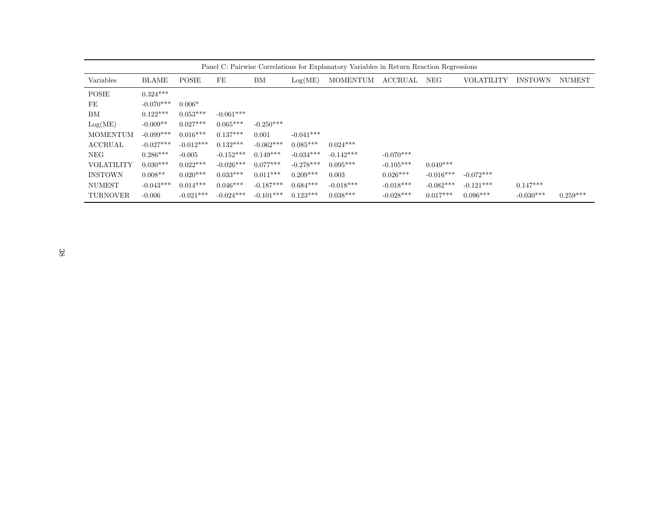|                   | Panel C: Pairwise Correlations for Explanatory Variables in Return Reaction Regressions |              |             |             |             |                 |                |             |                   |                |               |
|-------------------|-----------------------------------------------------------------------------------------|--------------|-------------|-------------|-------------|-----------------|----------------|-------------|-------------------|----------------|---------------|
| Variables         | <b>BLAME</b>                                                                            | <b>POSIE</b> | FE          | ΒM          | Log(ME)     | <b>MOMENTUM</b> | <b>ACCRUAL</b> | NEG         | <b>VOLATILITY</b> | <b>INSTOWN</b> | <b>NUMEST</b> |
| <b>POSIE</b>      | $0.324***$                                                                              |              |             |             |             |                 |                |             |                   |                |               |
| FE                | $-0.070***$                                                                             | $0.006*$     |             |             |             |                 |                |             |                   |                |               |
| BM                | $0.122***$                                                                              | $0.053***$   | $-0.061***$ |             |             |                 |                |             |                   |                |               |
| Log(ME)           | $-0.009**$                                                                              | $0.027***$   | $0.065***$  | $-0.250***$ |             |                 |                |             |                   |                |               |
| <b>MOMENTUM</b>   | $-0.099***$                                                                             | $0.016***$   | $0.137***$  | 0.001       | $-0.041***$ |                 |                |             |                   |                |               |
| <b>ACCRUAL</b>    | $-0.027***$                                                                             | $-0.012***$  | $0.132***$  | $-0.062***$ | $0.085***$  | $0.024***$      |                |             |                   |                |               |
| <b>NEG</b>        | $0.286***$                                                                              | $-0.005$     | $-0.152***$ | $0.149***$  | $-0.034***$ | $-0.142***$     | $-0.070***$    |             |                   |                |               |
| <b>VOLATILITY</b> | $0.030***$                                                                              | $0.022***$   | $-0.026***$ | $0.077***$  | $-0.278***$ | $0.095***$      | $-0.105***$    | $0.049***$  |                   |                |               |
| <b>INSTOWN</b>    | $0.008**$                                                                               | $0.020***$   | $0.033***$  | $0.011***$  | $0.209***$  | 0.003           | $0.026***$     | $-0.016***$ | $-0.072***$       |                |               |
| <b>NUMEST</b>     | $-0.043***$                                                                             | $0.014***$   | $0.046***$  | $-0.187***$ | $0.684***$  | $-0.018***$     | $-0.018***$    | $-0.082***$ | $-0.121***$       | $0.147***$     |               |
| <b>TURNOVER</b>   | $-0.006$                                                                                | $-0.021***$  | $-0.024***$ | $-0.101***$ | $0.123***$  | $0.038***$      | $-0.028***$    | $0.017***$  | $0.096***$        | $-0.030***$    | $0.259***$    |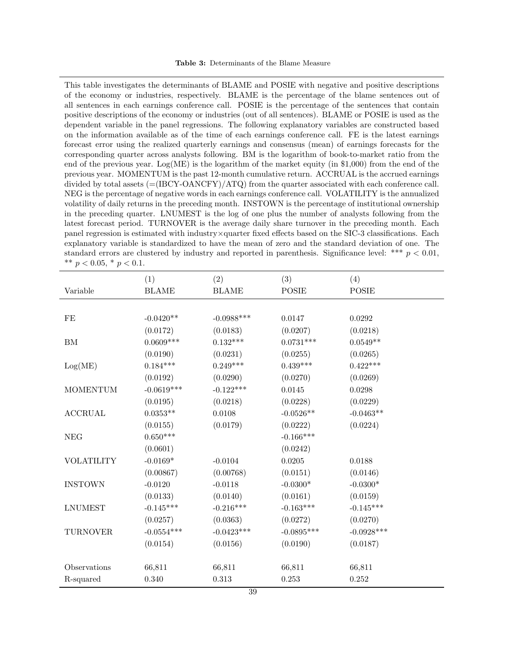This table investigates the determinants of BLAME and POSIE with negative and positive descriptions of the economy or industries, respectively. BLAME is the percentage of the blame sentences out of all sentences in each earnings conference call. POSIE is the percentage of the sentences that contain positive descriptions of the economy or industries (out of all sentences). BLAME or POSIE is used as the dependent variable in the panel regressions. The following explanatory variables are constructed based on the information available as of the time of each earnings conference call. FE is the latest earnings forecast error using the realized quarterly earnings and consensus (mean) of earnings forecasts for the corresponding quarter across analysts following. BM is the logarithm of book-to-market ratio from the end of the previous year.  $Log(ME)$  is the logarithm of the market equity (in \$1,000) from the end of the previous year. MOMENTUM is the past 12-month cumulative return. ACCRUAL is the accrued earnings divided by total assets  $=(\text{IBCY-OANCFY})/\text{ATQ}$  from the quarter associated with each conference call. NEG is the percentage of negative words in each earnings conference call. VOLATILITY is the annualized volatility of daily returns in the preceding month. INSTOWN is the percentage of institutional ownership in the preceding quarter. LNUMEST is the log of one plus the number of analysts following from the latest forecast period. TURNOVER is the average daily share turnover in the preceding month. Each panel regression is estimated with industry×quarter fixed effects based on the SIC-3 classifications. Each explanatory variable is standardized to have the mean of zero and the standard deviation of one. The standard errors are clustered by industry and reported in parenthesis. Significance level: \*\*\*  $p < 0.01$ , \*\*  $p < 0.05$ , \*  $p < 0.1$ .

|                   | (1)             | (2)          | (3)          | (4)          |
|-------------------|-----------------|--------------|--------------|--------------|
| Variable          | <b>BLAME</b>    | <b>BLAME</b> | <b>POSIE</b> | <b>POSIE</b> |
|                   |                 |              |              |              |
| $\rm FE$          | $-0.0420**$     | $-0.0988***$ | 0.0147       | 0.0292       |
|                   | (0.0172)        | (0.0183)     | (0.0207)     | (0.0218)     |
| ${\rm BM}$        | $0.0609***$     | $0.132***$   | $0.0731***$  | $0.0549**$   |
|                   | (0.0190)        | (0.0231)     | (0.0255)     | (0.0265)     |
| Log(ME)           | $0.184***$      | $0.249***$   | $0.439***$   | $0.422***$   |
|                   | (0.0192)        | (0.0290)     | (0.0270)     | (0.0269)     |
| <b>MOMENTUM</b>   | $-0.0619***$    | $-0.122***$  | 0.0145       | 0.0298       |
|                   | (0.0195)        | (0.0218)     | (0.0228)     | (0.0229)     |
| <b>ACCRUAL</b>    | $0.0353^{**}\,$ | 0.0108       | $-0.0526**$  | $-0.0463**$  |
|                   | (0.0155)        | (0.0179)     | (0.0222)     | (0.0224)     |
| <b>NEG</b>        | $0.650***$      |              | $-0.166***$  |              |
|                   | (0.0601)        |              | (0.0242)     |              |
| <b>VOLATILITY</b> | $-0.0169*$      | $-0.0104$    | 0.0205       | 0.0188       |
|                   | (0.00867)       | (0.00768)    | (0.0151)     | (0.0146)     |
| <b>INSTOWN</b>    | $-0.0120$       | $-0.0118$    | $-0.0300*$   | $-0.0300*$   |
|                   | (0.0133)        | (0.0140)     | (0.0161)     | (0.0159)     |
| <b>LNUMEST</b>    | $-0.145***$     | $-0.216***$  | $-0.163***$  | $-0.145***$  |
|                   | (0.0257)        | (0.0363)     | (0.0272)     | (0.0270)     |
| <b>TURNOVER</b>   | $-0.0554***$    | $-0.0423***$ | $-0.0895***$ | $-0.0928***$ |
|                   | (0.0154)        | (0.0156)     | (0.0190)     | (0.0187)     |
|                   |                 |              |              |              |
| Observations      | 66,811          | 66,811       | 66,811       | 66,811       |
| R-squared         | 0.340           | 0.313        | 0.253        | $0.252\,$    |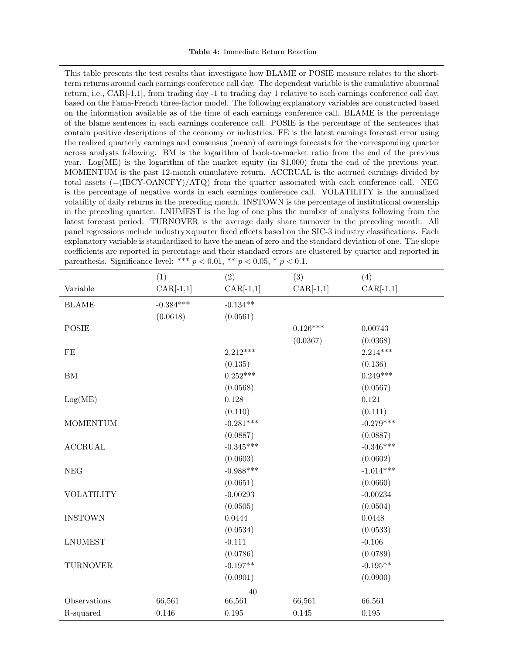This table presents the test results that investigate how BLAME or POSIE measure relates to the shortterm returns around each earnings conference call day. The dependent variable is the cumulative abnormal return, i.e., CAR[-1,1], from trading day -1 to trading day 1 relative to each earnings conference call day, based on the Fama-French three-factor model. The following explanatory variables are constructed based on the information available as of the time of each earnings conference call. BLAME is the percentage of the blame sentences in each earnings conference call. POSIE is the percentage of the sentences that contain positive descriptions of the economy or industries. FE is the latest earnings forecast error using the realized quarterly earnings and consensus (mean) of earnings forecasts for the corresponding quarter across analysts following. BM is the logarithm of book-to-market ratio from the end of the previous year. Log(ME) is the logarithm of the market equity (in \$1,000) from the end of the previous year. MOMENTUM is the past 12-month cumulative return. ACCRUAL is the accrued earnings divided by total assets (=(IBCY-OANCFY)/ATQ) from the quarter associated with each conference call. NEG is the percentage of negative words in each earnings conference call. VOLATILITY is the annualized volatility of daily returns in the preceding month. INSTOWN is the percentage of institutional ownership in the preceding quarter. LNUMEST is the log of one plus the number of analysts following from the latest forecast period. TURNOVER is the average daily share turnover in the preceding month. All panel regressions include industry×quarter fixed effects based on the SIC-3 industry classifications. Each explanatory variable is standardized to have the mean of zero and the standard deviation of one. The slope coefficients are reported in percentage and their standard errors are clustered by quarter and reported in parenthesis. Significance level: \*\*\*  $p < 0.01$ , \*\*  $p < 0.05$ , \*  $p < 0.1$ .

|                   | (1)         | (2)         | (3)         | (4)         |
|-------------------|-------------|-------------|-------------|-------------|
| Variable          | $CAR[-1,1]$ | $CAR[-1,1]$ | $CAR[-1,1]$ | $CAR[-1,1]$ |
| <b>BLAME</b>      | $-0.384***$ | $-0.134**$  |             |             |
|                   | (0.0618)    | (0.0561)    |             |             |
| <b>POSIE</b>      |             |             | $0.126***$  | 0.00743     |
|                   |             |             | (0.0367)    | (0.0368)    |
| $\rm FE$          |             | $2.212***$  |             | $2.214***$  |
|                   |             | (0.135)     |             | (0.136)     |
| ${\rm BM}$        |             | $0.252***$  |             | $0.249***$  |
|                   |             | (0.0568)    |             | (0.0567)    |
| Log(ME)           |             | $0.128\,$   |             | $0.121\,$   |
|                   |             | (0.110)     |             | (0.111)     |
| <b>MOMENTUM</b>   |             | $-0.281***$ |             | $-0.279***$ |
|                   |             | (0.0887)    |             | (0.0887)    |
| <b>ACCRUAL</b>    |             | $-0.345***$ |             | $-0.346***$ |
|                   |             | (0.0603)    |             | (0.0602)    |
| <b>NEG</b>        |             | $-0.988***$ |             | $-1.014***$ |
|                   |             | (0.0651)    |             | (0.0660)    |
| <b>VOLATILITY</b> |             | $-0.00293$  |             | $-0.00234$  |
|                   |             | (0.0505)    |             | (0.0504)    |
| <b>INSTOWN</b>    |             | 0.0444      |             | 0.0448      |
|                   |             | (0.0534)    |             | (0.0533)    |
| <b>LNUMEST</b>    |             | $-0.111$    |             | $-0.106$    |
|                   |             | (0.0786)    |             | (0.0789)    |
| <b>TURNOVER</b>   |             | $-0.197**$  |             | $-0.195**$  |
|                   |             | (0.0901)    |             | (0.0900)    |
|                   |             | 40          |             |             |
| Observations      | 66,561      | 66,561      | 66,561      | 66,561      |
| R-squared         | 0.146       | $0.195\,$   | 0.145       | 0.195       |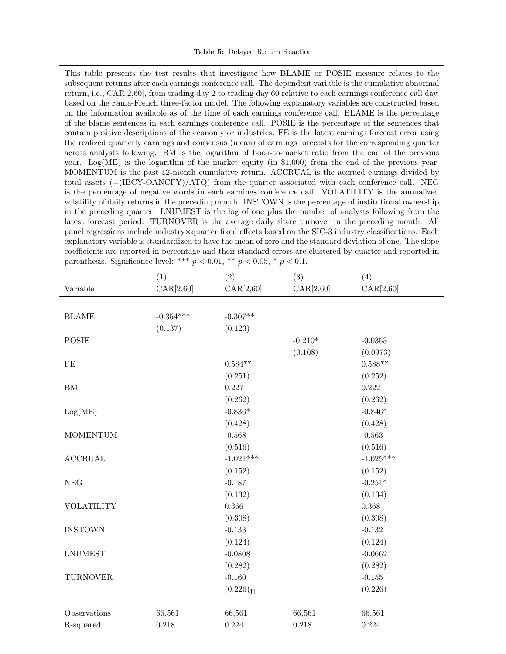This table presents the test results that investigate how BLAME or POSIE measure relates to the subsequent returns after each earnings conference call. The dependent variable is the cumulative abnormal return, i.e., CAR[2,60], from trading day 2 to trading day 60 relative to each earnings conference call day, based on the Fama-French three-factor model. The following explanatory variables are constructed based on the information available as of the time of each earnings conference call. BLAME is the percentage of the blame sentences in each earnings conference call. POSIE is the percentage of the sentences that contain positive descriptions of the economy or industries. FE is the latest earnings forecast error using the realized quarterly earnings and consensus (mean) of earnings forecasts for the corresponding quarter across analysts following. BM is the logarithm of book-to-market ratio from the end of the previous year. Log(ME) is the logarithm of the market equity (in \$1,000) from the end of the previous year. MOMENTUM is the past 12-month cumulative return. ACCRUAL is the accrued earnings divided by total assets (=(IBCY-OANCFY)/ATQ) from the quarter associated with each conference call. NEG is the percentage of negative words in each earnings conference call. VOLATILITY is the annualized volatility of daily returns in the preceding month. INSTOWN is the percentage of institutional ownership in the preceding quarter. LNUMEST is the log of one plus the number of analysts following from the latest forecast period. TURNOVER is the average daily share turnover in the preceding month. All panel regressions include industry×quarter fixed effects based on the SIC-3 industry classifications. Each explanatory variable is standardized to have the mean of zero and the standard deviation of one. The slope coefficients are reported in percentage and their standard errors are clustered by quarter and reported in parenthesis. Significance level: \*\*\*  $p < 0.01$ , \*\*  $p < 0.05$ , \*  $p < 0.1$ .

|                   | (1)         | (2)            | (3)        | (4)         |
|-------------------|-------------|----------------|------------|-------------|
| Variable          | CAR[2, 60]  | CAR[2,60]      | CAR[2, 60] | CAR[2, 60]  |
|                   |             |                |            |             |
| <b>BLAME</b>      | $-0.354***$ | $-0.307**$     |            |             |
|                   | (0.137)     | (0.123)        |            |             |
| <b>POSIE</b>      |             |                | $-0.210*$  | $-0.0353$   |
|                   |             |                | (0.108)    | (0.0973)    |
| $\rm FE$          |             | $0.584**$      |            | $0.588**$   |
|                   |             | (0.251)        |            | (0.252)     |
| ${\rm BM}$        |             | 0.227          |            | 0.222       |
|                   |             | (0.262)        |            | (0.262)     |
| Log(ME)           |             | $-0.836*$      |            | $-0.846*$   |
|                   |             | (0.428)        |            | (0.428)     |
| <b>MOMENTUM</b>   |             | $-0.568$       |            | $-0.563$    |
|                   |             | (0.516)        |            | (0.516)     |
| <b>ACCRUAL</b>    |             | $-1.021***$    |            | $-1.025***$ |
|                   |             | (0.152)        |            | (0.152)     |
| <b>NEG</b>        |             | $-0.187$       |            | $-0.251*$   |
|                   |             | (0.132)        |            | (0.134)     |
| <b>VOLATILITY</b> |             | 0.366          |            | 0.368       |
|                   |             | (0.308)        |            | (0.308)     |
| <b>INSTOWN</b>    |             | $-0.133$       |            | $-0.132$    |
|                   |             | (0.124)        |            | (0.124)     |
| <b>LNUMEST</b>    |             | $-0.0808$      |            | $-0.0662$   |
|                   |             | (0.282)        |            | (0.282)     |
| <b>TURNOVER</b>   |             | $-0.160$       |            | $-0.155$    |
|                   |             | $(0.226)_{41}$ |            | (0.226)     |
| Observations      | 66,561      | 66,561         | 66,561     | 66,561      |
| R-squared         | 0.218       | 0.224          | 0.218      | 0.224       |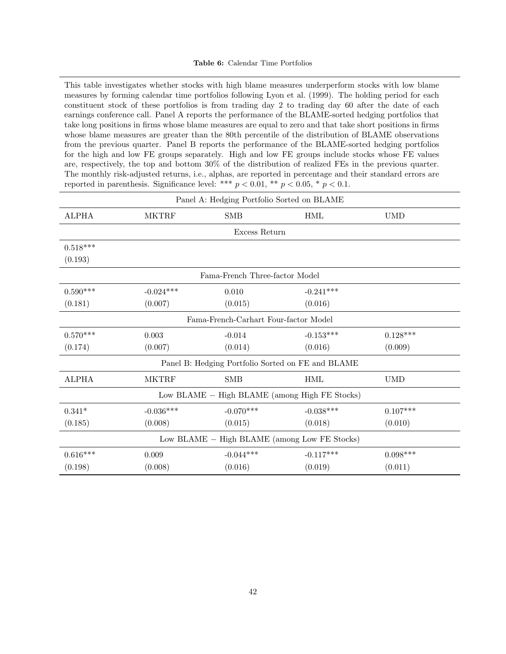This table investigates whether stocks with high blame measures underperform stocks with low blame measures by forming calendar time portfolios following Lyon et al. (1999). The holding period for each constituent stock of these portfolios is from trading day 2 to trading day 60 after the date of each earnings conference call. Panel A reports the performance of the BLAME-sorted hedging portfolios that take long positions in firms whose blame measures are equal to zero and that take short positions in firms whose blame measures are greater than the 80th percentile of the distribution of BLAME observations from the previous quarter. Panel B reports the performance of the BLAME-sorted hedging portfolios for the high and low FE groups separately. High and low FE groups include stocks whose FE values are, respectively, the top and bottom 30% of the distribution of realized FEs in the previous quarter. The monthly risk-adjusted returns, i.e., alphas, are reported in percentage and their standard errors are reported in parenthesis. Significance level: \*\*\*  $p < 0.01$ , \*\*  $p < 0.05$ , \*  $p < 0.1$ .

|              |              | Panel A: Hedging Portfolio Sorted on BLAME |                                                   |            |  |
|--------------|--------------|--------------------------------------------|---------------------------------------------------|------------|--|
| <b>ALPHA</b> | <b>MKTRF</b> | <b>SMB</b>                                 | <b>HML</b>                                        | <b>UMD</b> |  |
|              |              | Excess Return                              |                                                   |            |  |
| $0.518***$   |              |                                            |                                                   |            |  |
| (0.193)      |              |                                            |                                                   |            |  |
|              |              | Fama-French Three-factor Model             |                                                   |            |  |
| $0.590***$   | $-0.024***$  | 0.010                                      | $-0.241***$                                       |            |  |
| (0.181)      | (0.007)      | (0.015)                                    | (0.016)                                           |            |  |
|              |              | Fama-French-Carhart Four-factor Model      |                                                   |            |  |
| $0.570***$   | 0.003        | $-0.014$                                   | $-0.153***$                                       | $0.128***$ |  |
| (0.174)      | (0.007)      | (0.014)                                    | (0.016)                                           | (0.009)    |  |
|              |              |                                            | Panel B: Hedging Portfolio Sorted on FE and BLAME |            |  |
| ALPHA        | <b>MKTRF</b> | <b>SMB</b>                                 | <b>HML</b>                                        | <b>UMD</b> |  |
|              |              |                                            | Low BLAME - High BLAME (among High FE Stocks)     |            |  |
| $0.341*$     | $-0.036***$  | $-0.070***$                                | $-0.038***$                                       | $0.107***$ |  |
| (0.185)      | (0.008)      | (0.015)                                    | (0.018)                                           | (0.010)    |  |
|              |              |                                            | Low BLAME - High BLAME (among Low FE Stocks)      |            |  |
| $0.616***$   | 0.009        | $-0.044***$                                | $-0.117***$                                       | $0.098***$ |  |
| (0.198)      | (0.008)      | (0.016)                                    | (0.019)                                           | (0.011)    |  |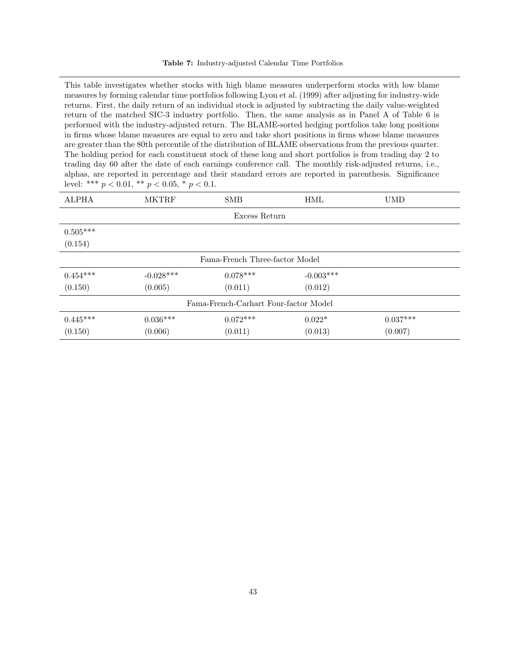#### Table 7: Industry-adjusted Calendar Time Portfolios

This table investigates whether stocks with high blame measures underperform stocks with low blame measures by forming calendar time portfolios following Lyon et al. (1999) after adjusting for industry-wide returns. First, the daily return of an individual stock is adjusted by subtracting the daily value-weighted return of the matched SIC-3 industry portfolio. Then, the same analysis as in Panel A of Table 6 is performed with the industry-adjusted return. The BLAME-sorted hedging portfolios take long positions in firms whose blame measures are equal to zero and take short positions in firms whose blame measures are greater than the 80th percentile of the distribution of BLAME observations from the previous quarter. The holding period for each constituent stock of these long and short portfolios is from trading day 2 to trading day 60 after the date of each earnings conference call. The monthly risk-adjusted returns, i.e., alphas, are reported in percentage and their standard errors are reported in parenthesis. Significance level: \*\*\*  $p < 0.01$ , \*\*  $p < 0.05$ , \*  $p < 0.1$ .

| <b>ALPHA</b>                          | <b>MKTRF</b> | <b>SMB</b>                     | <b>HML</b>  | <b>UMD</b> |  |
|---------------------------------------|--------------|--------------------------------|-------------|------------|--|
|                                       |              | Excess Return                  |             |            |  |
| $0.505***$<br>(0.154)                 |              |                                |             |            |  |
|                                       |              | Fama-French Three-factor Model |             |            |  |
| $0.454***$                            | $-0.028***$  | $0.078***$                     | $-0.003***$ |            |  |
| (0.150)                               | (0.005)      | (0.011)                        | (0.012)     |            |  |
| Fama-French-Carhart Four-factor Model |              |                                |             |            |  |
| $0.445***$                            | $0.036***$   | $0.072***$                     | $0.022*$    | $0.037***$ |  |
| (0.150)                               | (0.006)      | (0.011)                        | (0.013)     | (0.007)    |  |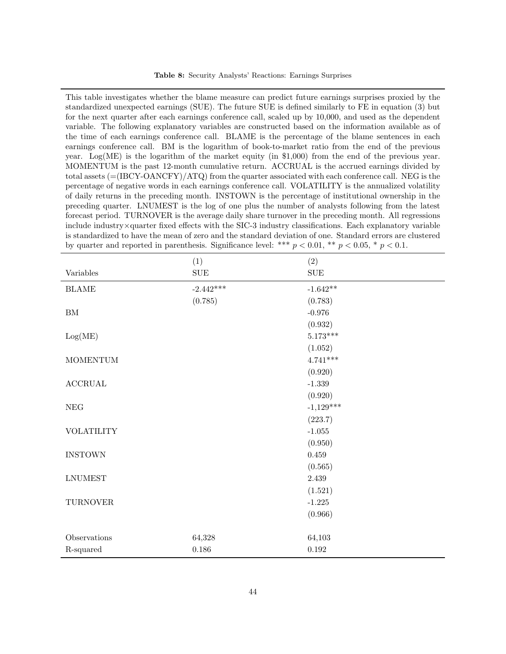This table investigates whether the blame measure can predict future earnings surprises proxied by the standardized unexpected earnings (SUE). The future SUE is defined similarly to FE in equation (3) but for the next quarter after each earnings conference call, scaled up by 10,000, and used as the dependent variable. The following explanatory variables are constructed based on the information available as of the time of each earnings conference call. BLAME is the percentage of the blame sentences in each earnings conference call. BM is the logarithm of book-to-market ratio from the end of the previous year. Log(ME) is the logarithm of the market equity (in \$1,000) from the end of the previous year. MOMENTUM is the past 12-month cumulative return. ACCRUAL is the accrued earnings divided by total assets (=(IBCY-OANCFY)/ATQ) from the quarter associated with each conference call. NEG is the percentage of negative words in each earnings conference call. VOLATILITY is the annualized volatility of daily returns in the preceding month. INSTOWN is the percentage of institutional ownership in the preceding quarter. LNUMEST is the log of one plus the number of analysts following from the latest forecast period. TURNOVER is the average daily share turnover in the preceding month. All regressions include industry×quarter fixed effects with the SIC-3 industry classifications. Each explanatory variable is standardized to have the mean of zero and the standard deviation of one. Standard errors are clustered by quarter and reported in parenthesis. Significance level: \*\*\*  $p < 0.01$ , \*\*  $p < 0.05$ , \*  $p < 0.1$ .

|                           | (1)         | (2)             |
|---------------------------|-------------|-----------------|
| Variables                 | ${\rm SUE}$ | ${\rm SUE}$     |
| <b>BLAME</b>              | $-2.442***$ | $-1.642**$      |
|                           | (0.785)     | (0.783)         |
| ${\rm BM}$                |             | $-0.976$        |
|                           |             | (0.932)         |
| Log(ME)                   |             | $5.173***$      |
|                           |             | (1.052)         |
| $\operatorname{MOMENTUM}$ |             | $4.741***$      |
|                           |             | (0.920)         |
| $\operatorname{ACCRUAL}$  |             | $-1.339$        |
|                           |             | (0.920)         |
| $\rm{NEG}$                |             | $-1,129***$     |
|                           |             | (223.7)         |
| <b>VOLATILITY</b>         |             | $\text{-}1.055$ |
|                           |             | (0.950)         |
| <b>INSTOWN</b>            |             | $0.459\,$       |
|                           |             | (0.565)         |
| ${\rm LNUMEST}$           |             | 2.439           |
|                           |             | (1.521)         |
| <b>TURNOVER</b>           |             | $-1.225$        |
|                           |             | (0.966)         |
|                           |             |                 |
| Observations              | 64,328      | 64,103          |
| R-squared                 | $0.186\,$   | $\rm 0.192$     |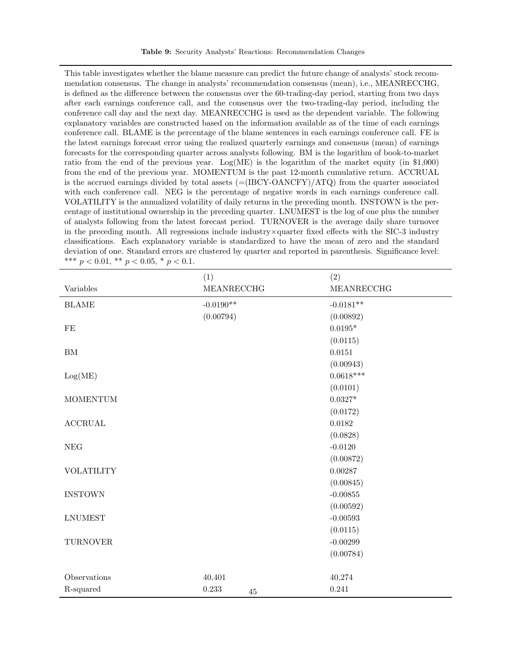This table investigates whether the blame measure can predict the future change of analysts' stock recommendation consensus. The change in analysts' recommendation consensus (mean), i.e., MEANRECCHG, is defined as the difference between the consensus over the 60-trading-day period, starting from two days after each earnings conference call, and the consensus over the two-trading-day period, including the conference call day and the next day. MEANRECCHG is used as the dependent variable. The following explanatory variables are constructed based on the information available as of the time of each earnings conference call. BLAME is the percentage of the blame sentences in each earnings conference call. FE is the latest earnings forecast error using the realized quarterly earnings and consensus (mean) of earnings forecasts for the corresponding quarter across analysts following. BM is the logarithm of book-to-market ratio from the end of the previous year. Log(ME) is the logarithm of the market equity (in  $$1,000$ ) from the end of the previous year. MOMENTUM is the past 12-month cumulative return. ACCRUAL is the accrued earnings divided by total assets  $=$ (IBCY-OANCFY)/ATQ) from the quarter associated with each conference call. NEG is the percentage of negative words in each earnings conference call. VOLATILITY is the annualized volatility of daily returns in the preceding month. INSTOWN is the percentage of institutional ownership in the preceding quarter. LNUMEST is the log of one plus the number of analysts following from the latest forecast period. TURNOVER is the average daily share turnover in the preceding month. All regressions include industry×quarter fixed effects with the SIC-3 industry classifications. Each explanatory variable is standardized to have the mean of zero and the standard deviation of one. Standard errors are clustered by quarter and reported in parenthesis. Significance level: \*\*\*  $p < 0.01$ , \*\*  $p < 0.05$ , \*  $p < 0.1$ .

|                      | (1)         |    | (2)             |
|----------------------|-------------|----|-----------------|
| Variables            | MEANRECCHG  |    | MEANRECCHG      |
| <b>BLAME</b>         | $-0.0190**$ |    | $-0.0181**$     |
|                      | (0.00794)   |    | (0.00892)       |
| $\rm FE$             |             |    | $0.0195^{\ast}$ |
|                      |             |    | (0.0115)        |
| ${\rm BM}$           |             |    | 0.0151          |
|                      |             |    | (0.00943)       |
| Log(ME)              |             |    | $0.0618***$     |
|                      |             |    | (0.0101)        |
| <b>MOMENTUM</b>      |             |    | $0.0327*$       |
|                      |             |    | (0.0172)        |
| <b>ACCRUAL</b>       |             |    | 0.0182          |
|                      |             |    | (0.0828)        |
| $\operatorname{NEG}$ |             |    | $-0.0120$       |
|                      |             |    | (0.00872)       |
| <b>VOLATILITY</b>    |             |    | 0.00287         |
|                      |             |    | (0.00845)       |
| <b>INSTOWN</b>       |             |    | $-0.00855$      |
|                      |             |    | (0.00592)       |
| <b>LNUMEST</b>       |             |    | $-0.00593$      |
|                      |             |    | (0.0115)        |
| <b>TURNOVER</b>      |             |    | $-0.00299$      |
|                      |             |    | (0.00784)       |
|                      |             |    |                 |
| Observations         | 40,401      |    | 40,274          |
| R-squared            | 0.233       | 45 | 0.241           |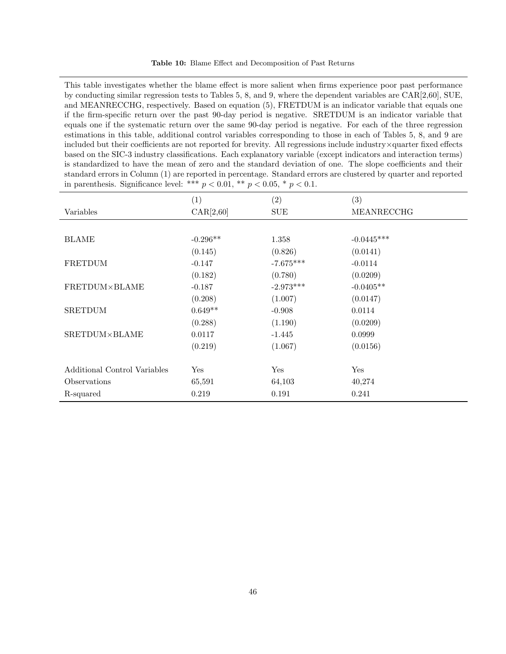| Table 10: Blame Effect and Decomposition of Past Returns |  |
|----------------------------------------------------------|--|
|----------------------------------------------------------|--|

This table investigates whether the blame effect is more salient when firms experience poor past performance by conducting similar regression tests to Tables 5, 8, and 9, where the dependent variables are CAR[2,60], SUE, and MEANRECCHG, respectively. Based on equation (5), FRETDUM is an indicator variable that equals one if the firm-specific return over the past 90-day period is negative. SRETDUM is an indicator variable that equals one if the systematic return over the same 90-day period is negative. For each of the three regression estimations in this table, additional control variables corresponding to those in each of Tables 5, 8, and 9 are included but their coefficients are not reported for brevity. All regressions include industry×quarter fixed effects based on the SIC-3 industry classifications. Each explanatory variable (except indicators and interaction terms) is standardized to have the mean of zero and the standard deviation of one. The slope coefficients and their standard errors in Column (1) are reported in percentage. Standard errors are clustered by quarter and reported in parenthesis. Significance level: \*\*\*  $p < 0.01$ , \*\*  $p < 0.05$ , \*  $p < 0.1$ .

|                              | (1)        | (2)         | (3)          |
|------------------------------|------------|-------------|--------------|
| Variables                    | CAR[2,60]  | <b>SUE</b>  | MEANRECCHG   |
|                              |            |             |              |
| <b>BLAME</b>                 | $-0.296**$ | 1.358       | $-0.0445***$ |
|                              | (0.145)    | (0.826)     | (0.0141)     |
| FRETDUM                      | $-0.147$   | $-7.675***$ | $-0.0114$    |
|                              | (0.182)    | (0.780)     | (0.0209)     |
| FRETDUM×BLAME                | $-0.187$   | $-2.973***$ | $-0.0405**$  |
|                              | (0.208)    | (1.007)     | (0.0147)     |
| <b>SRETDUM</b>               | $0.649**$  | $-0.908$    | 0.0114       |
|                              | (0.288)    | (1.190)     | (0.0209)     |
| SRETDUM×BLAME                | 0.0117     | $-1.445$    | 0.0999       |
|                              | (0.219)    | (1.067)     | (0.0156)     |
|                              |            |             |              |
| Additional Control Variables | Yes        | Yes         | Yes          |
| Observations                 | 65,591     | 64,103      | 40,274       |
| R-squared                    | 0.219      | 0.191       | 0.241        |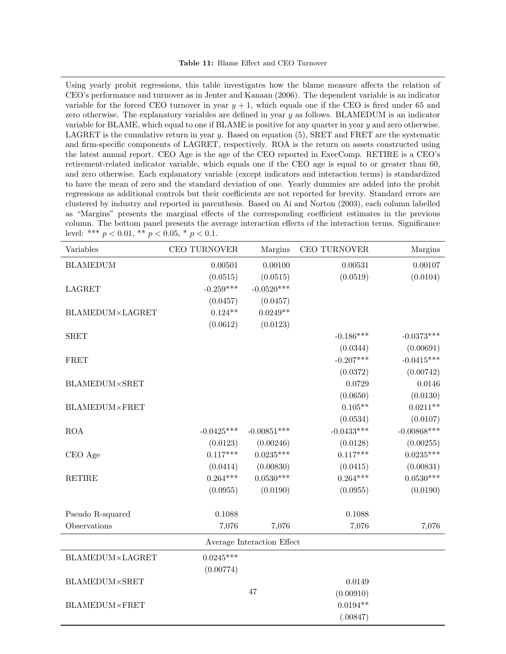Using yearly probit regressions, this table investigates how the blame measure affects the relation of CEO's performance and turnover as in Jenter and Kanaan (2006). The dependent variable is an indicator variable for the forced CEO turnover in year  $y + 1$ , which equals one if the CEO is fired under 65 and zero otherwise. The explanatory variables are defined in year  $y$  as follows. BLAMEDUM is an indicator variable for BLAME, which equal to one if BLAME is positive for any quarter in year y and zero otherwise. LAGRET is the cumulative return in year  $y$ . Based on equation (5), SRET and FRET are the systematic and firm-specific components of LAGRET, respectively. ROA is the return on assets constructed using the latest annual report. CEO Age is the age of the CEO reported in ExecComp. RETIRE is a CEO's retirement-related indicator variable, which equals one if the CEO age is equal to or greater than 60, and zero otherwise. Each explanatory variable (except indicators and interaction terms) is standardized to have the mean of zero and the standard deviation of one. Yearly dummies are added into the probit regressions as additional controls but their coefficients are not reported for brevity. Standard errors are clustered by industry and reported in parenthesis. Based on Ai and Norton (2003), each column labelled as "Margins" presents the marginal effects of the corresponding coefficient estimates in the previous column. The bottom panel presents the average interaction effects of the interaction terms. Significance level: \*\*\*  $p < 0.01$ , \*\*  $p < 0.05$ , \*  $p < 0.1$ .

| Variables                  | CEO TURNOVER | Margins       | CEO TURNOVER | Margins       |  |
|----------------------------|--------------|---------------|--------------|---------------|--|
| <b>BLAMEDUM</b>            | 0.00501      | 0.00100       | 0.00531      | 0.00107       |  |
|                            | (0.0515)     | (0.0515)      | (0.0519)     | (0.0104)      |  |
| <b>LAGRET</b>              | $-0.259***$  | $-0.0520***$  |              |               |  |
|                            | (0.0457)     | (0.0457)      |              |               |  |
| BLAMEDUM×LAGRET            | $0.124**$    | $0.0249**$    |              |               |  |
|                            | (0.0612)     | (0.0123)      |              |               |  |
| <b>SRET</b>                |              |               | $-0.186***$  | $-0.0373***$  |  |
|                            |              |               | (0.0344)     | (0.00691)     |  |
| <b>FRET</b>                |              |               | $-0.207***$  | $-0.0415***$  |  |
|                            |              |               | (0.0372)     | (0.00742)     |  |
| <b>BLAMEDUM×SRET</b>       |              |               | 0.0729       | 0.0146        |  |
|                            |              |               | (0.0650)     | (0.0130)      |  |
| <b>BLAMEDUM×FRET</b>       |              |               | $0.105**$    | $0.0211**$    |  |
|                            |              |               | (0.0534)     | (0.0107)      |  |
| <b>ROA</b>                 | $-0.0425***$ | $-0.00851***$ | $-0.0433***$ | $-0.00868***$ |  |
|                            | (0.0123)     | (0.00246)     | (0.0128)     | (0.00255)     |  |
| CEO Age                    | $0.117***$   | $0.0235***$   | $0.117***$   | $0.0235***$   |  |
|                            | (0.0414)     | (0.00830)     | (0.0415)     | (0.00831)     |  |
| <b>RETIRE</b>              | $0.264***$   | $0.0530***$   | $0.264***$   | $0.0530***$   |  |
|                            | (0.0955)     | (0.0190)      | (0.0955)     | (0.0190)      |  |
|                            |              |               |              |               |  |
| Pseudo R-squared           | 0.1088       |               | 0.1088       |               |  |
| Observations               | 7,076        | 7,076         | 7,076        | 7,076         |  |
| Average Interaction Effect |              |               |              |               |  |
| BLAMEDUM×LAGRET            | $0.0245***$  |               |              |               |  |
|                            | (0.00774)    |               |              |               |  |
| <b>BLAMEDUM×SRET</b>       |              |               | 0.0149       |               |  |
|                            |              | 47            | (0.00910)    |               |  |
| <b>BLAMEDUM×FRET</b>       |              |               | $0.0194**$   |               |  |
|                            |              |               | (.00847)     |               |  |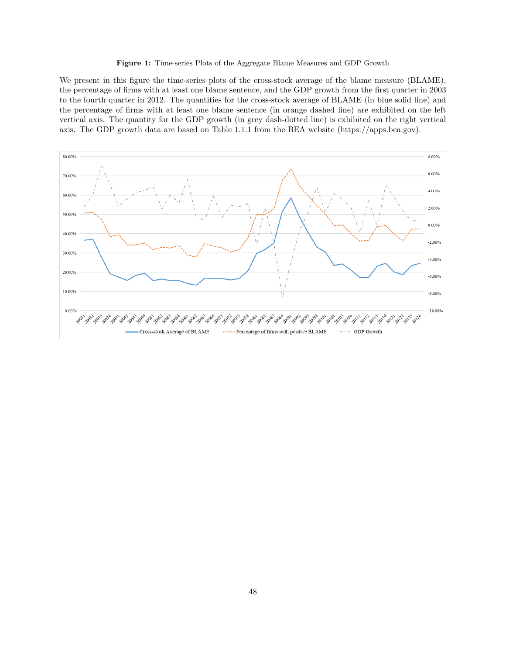#### Figure 1: Time-series Plots of the Aggregate Blame Measures and GDP Growth

We present in this figure the time-series plots of the cross-stock average of the blame measure (BLAME), the percentage of firms with at least one blame sentence, and the GDP growth from the first quarter in 2003 to the fourth quarter in 2012. The quantities for the cross-stock average of BLAME (in blue solid line) and the percentage of firms with at least one blame sentence (in orange dashed line) are exhibited on the left vertical axis. The quantity for the GDP growth (in grey dash-dotted line) is exhibited on the right vertical axis. The GDP growth data are based on Table 1.1.1 from the BEA website (https://apps.bea.gov).

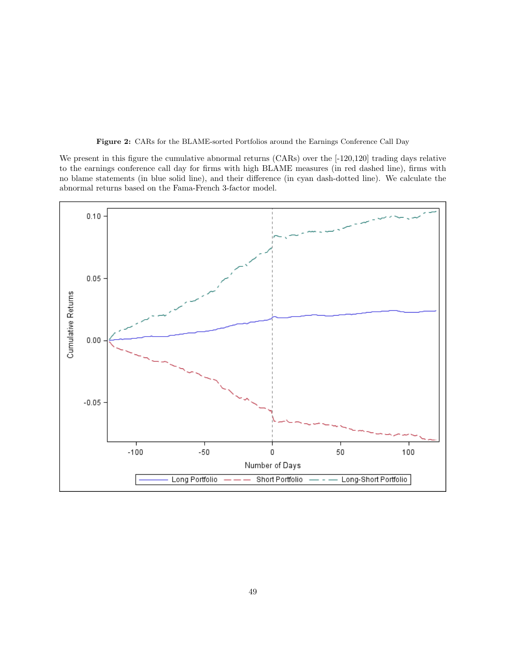Figure 2: CARs for the BLAME-sorted Portfolios around the Earnings Conference Call Day

We present in this figure the cumulative abnormal returns (CARs) over the  $[-120,120]$  trading days relative to the earnings conference call day for firms with high BLAME measures (in red dashed line), firms with no blame statements (in blue solid line), and their difference (in cyan dash-dotted line). We calculate the abnormal returns based on the Fama-French 3-factor model.

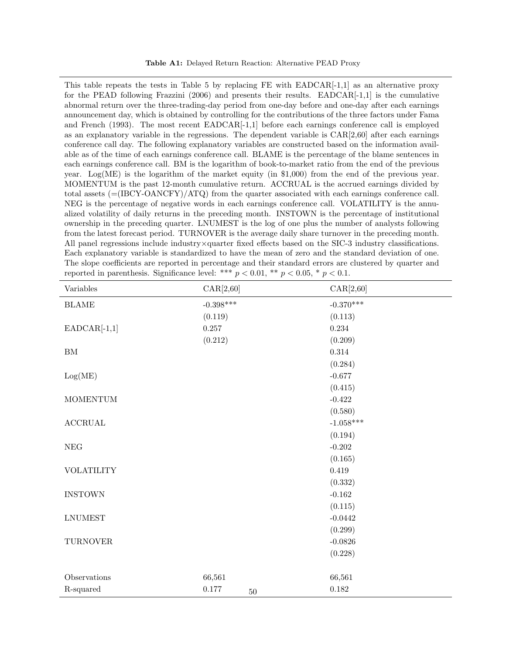This table repeats the tests in Table 5 by replacing  $FE$  with  $EADCAR[-1,1]$  as an alternative proxy for the PEAD following Frazzini (2006) and presents their results. EADCAR $[-1,1]$  is the cumulative abnormal return over the three-trading-day period from one-day before and one-day after each earnings announcement day, which is obtained by controlling for the contributions of the three factors under Fama and French (1993). The most recent EADCAR[-1,1] before each earnings conference call is employed as an explanatory variable in the regressions. The dependent variable is CAR[2,60] after each earnings conference call day. The following explanatory variables are constructed based on the information available as of the time of each earnings conference call. BLAME is the percentage of the blame sentences in each earnings conference call. BM is the logarithm of book-to-market ratio from the end of the previous year. Log(ME) is the logarithm of the market equity (in  $$1,000$ ) from the end of the previous year. MOMENTUM is the past 12-month cumulative return. ACCRUAL is the accrued earnings divided by total assets (=(IBCY-OANCFY)/ATQ) from the quarter associated with each earnings conference call. NEG is the percentage of negative words in each earnings conference call. VOLATILITY is the annualized volatility of daily returns in the preceding month. INSTOWN is the percentage of institutional ownership in the preceding quarter. LNUMEST is the log of one plus the number of analysts following from the latest forecast period. TURNOVER is the average daily share turnover in the preceding month. All panel regressions include industry×quarter fixed effects based on the SIC-3 industry classifications. Each explanatory variable is standardized to have the mean of zero and the standard deviation of one. The slope coefficients are reported in percentage and their standard errors are clustered by quarter and reported in parenthesis. Significance level: \*\*\*  $p < 0.01$ , \*\*  $p < 0.05$ , \*  $p < 0.1$ .

| Variables                 | CAR[2,60]           | CAR[2, 60]  |
|---------------------------|---------------------|-------------|
| $\operatorname{BLAME}$    | $-0.398***$         | $-0.370***$ |
|                           | (0.119)             | (0.113)     |
| $EADCAR[-1,1]$            | $0.257\,$           | 0.234       |
|                           | (0.212)             | (0.209)     |
| ${\rm BM}$                |                     | $0.314\,$   |
|                           |                     | (0.284)     |
| Log(ME)                   |                     | $-0.677$    |
|                           |                     | (0.415)     |
| $\operatorname{MOMENTUM}$ |                     | $-0.422$    |
|                           |                     | (0.580)     |
| $\operatorname{ACCRUAL}$  |                     | $-1.058***$ |
|                           |                     | (0.194)     |
| $\operatorname{NEG}$      |                     | $-0.202$    |
|                           |                     | (0.165)     |
| <b>VOLATILITY</b>         |                     | 0.419       |
|                           |                     | (0.332)     |
| <b>INSTOWN</b>            |                     | $-0.162$    |
|                           |                     | (0.115)     |
| <b>LNUMEST</b>            |                     | $-0.0442$   |
|                           |                     | (0.299)     |
| ${\mbox{TURNOVER}}$       |                     | $-0.0826$   |
|                           |                     | (0.228)     |
|                           |                     |             |
| Observations              | 66,561              | 66,561      |
| R-squared                 | $0.177\,$<br>$50\,$ | $0.182\,$   |